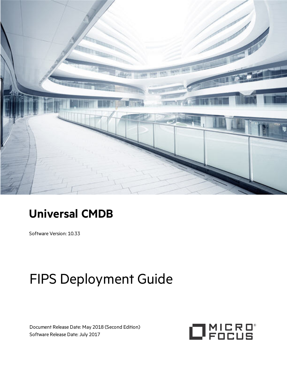

## **Universal CMDB**

Software Version: 10.33

# FIPS Deployment Guide

Document Release Date: May 2018 (Second Edition) Software Release Date: July 2017

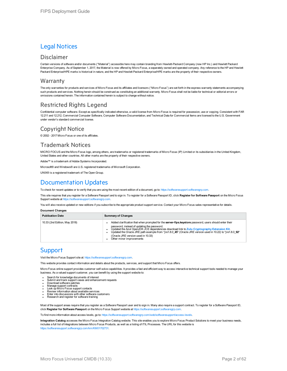### Legal Notices

### Disclaimer

Certain versions of software and/or documents ("Material") accessible here may contain branding from Hewlett-Packard Company (now HP Inc.) and Hewlett Packard Enterprise Company. As of September 1, 2017, the Material is now offered by Micro Focus, a separately owned and operated company. Any reference to the HP and Hewlett Packard Enterprise/HPE marks is historical in nature, and the HP and Hewlett Packard Enterprise/HPE marks are the property of their respective owners.

### **Warranty**

The only warranties for products and services of Micro Focus and its affiliates and licensors ("Micro Focus") are set forth in the express warranty statements accompanying such products and services. Nothing herein should be construed as constituting an additional warranty. Micro Focus shall not be liable for technical or editorial errors or omissions contained herein. The information contained herein is subject to change without notice.

### Restricted Rights Legend

Confidential computer software. Except as specifically indicated otherwise, a valid license from Micro Focus is required for possession, use or copying. Consistent with FAR 12.211 and 12.212, Commercial Computer Software, Computer Software Documentation, and Technical Data for Commercial Items are licensed to the U.S. Government under vendor's standard commercial license.

### Copyright Notice

© 2002 - 2017 Micro Focus or one of its affiliates.

### Trademark Notices

MICRO FOCUS and the Micro Focus logo, among others, are trademarks or registered trademarks of Micro Focus (IP) Limited or its subsidiaries in the United Kingdom, United States and other countries. All other marks are the property of their respective owners.

Adobe™ is a trademark of Adobe Systems Incorporated.

Microsoft® and Windows® are U.S. registered trademarks of Microsoft Corporation.

UNIX<sup>®</sup> is a registered trademark of The Open Group.

### Documentation Updates

To check for recent updates or to verify that you are using the most recent edition of a document, go to: [https://softwaresupport.softwaregrp.com.](https://softwaresupport.softwaregrp.com/)

This site requires that you register for a Software Passport and to sign in. To register for a Software Passport ID, click **Register for Software Passport** on the Micro Focus Support website at [https://softwaresupport.softwaregrp.com.](https://softwaresupport.softwaregrp.com/)

You will also receive updated or new editions if you subscribe to the appropriate product support service. Contact your Micro Focus sales representative for details.

**Document Changes**

| <b>Publication Date</b>       | <b>Summary of Changes</b>                                                                                                                                                                                                                                                                                                                                                                                                             |
|-------------------------------|---------------------------------------------------------------------------------------------------------------------------------------------------------------------------------------------------------------------------------------------------------------------------------------------------------------------------------------------------------------------------------------------------------------------------------------|
| 10.33 (2nd Edition, May 2018) | Added clarification that when prompted for the server-fips. keystore password, users should enter their<br>password, instead of updating the password.<br>Updated the Azul OpenJDK JCE dependencies download link to Zulu Cryptography Extension Kit.<br>Updated the Oracle JRE path example from *jre1.8.0 45* (Oracle JRE version used in 10.22) to *ire1.8.0 92*<br>(Oracle JRE version used in 10.33)<br>Other minor improvements |

### **Support**

Visit the Micro Focus Support site at: [https://softwaresupport.softwaregrp.com](https://softwaresupport.softwaregrp.com/).

This website provides contact information and details about the products, services, and support that Micro Focus offers.

Micro Focus online support provides customer self-solve capabilities. It provides a fast and efficient way to access interactive technical support tools needed to manage your business. As a valued support customer, you can benefit by using the support website to:

- Search for knowledge documents of interest
- Submit and track support cases and enhancement requests<br>• Download software patches<br>• Manage support contracts<br>• Look up Micro Focus support contacts
- 
- 
- 
- <sup>l</sup> Review information about available services <sup>l</sup> Enter into discussions with other software customers <sup>l</sup> Research and register for software training
- 

Most of the support areas require that you register as a Software Passport user and to sign in. Many also require a support contract. To register for a Software Passport ID, click **Register for Software Passport** on the Micro Focus Support website at [https://softwaresupport.softwaregrp.com](https://softwaresupport.softwaregrp.com/).

To find more information about access levels, go to: [https://softwaresupport.softwaregrp.com/web/softwaresupport/access-levels.](https://softwaresupport.softwaregrp.com/web/softwaresupport/access-levels)

**Integration Catalog** accesses the Micro Focus Integration Catalog website. This site enables you to explore Micro Focus Product Solutions to meet your business needs, includes a full list of Integrations between Micro Focus Products, as well as a listing of ITIL Processes. The URL for this website is [https://softwaresupport.softwaregrp.com/km/KM01702731.](https://softwaresupport.softwaregrp.com/km/KM01702731)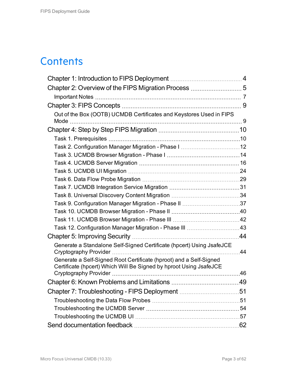## **Contents**

| Out of the Box (OOTB) UCMDB Certificates and Keystores Used in FIPS                                                                      |    |
|------------------------------------------------------------------------------------------------------------------------------------------|----|
|                                                                                                                                          |    |
|                                                                                                                                          |    |
|                                                                                                                                          |    |
|                                                                                                                                          |    |
|                                                                                                                                          |    |
|                                                                                                                                          |    |
|                                                                                                                                          |    |
|                                                                                                                                          |    |
|                                                                                                                                          |    |
|                                                                                                                                          |    |
|                                                                                                                                          |    |
|                                                                                                                                          |    |
|                                                                                                                                          |    |
|                                                                                                                                          |    |
|                                                                                                                                          |    |
| Generate a Standalone Self-Signed Certificate (hpcert) Using JsafeJCE                                                                    | 44 |
| Generate a Self-Signed Root Certificate (hproot) and a Self-Signed<br>Certificate (hpcert) Which Will Be Signed by hproot Using JsafeJCE |    |
|                                                                                                                                          | 46 |
| Chapter 6: Known Problems and Limitations                                                                                                | 49 |
| Chapter 7: Troubleshooting - FIPS Deployment 51                                                                                          |    |
|                                                                                                                                          |    |
|                                                                                                                                          |    |
|                                                                                                                                          |    |
|                                                                                                                                          |    |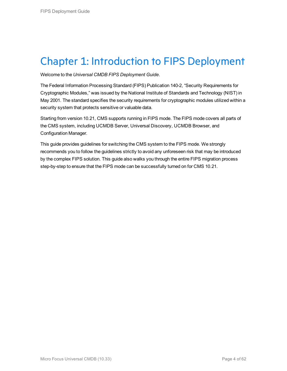## <span id="page-3-0"></span>Chapter 1: Introduction to FIPS Deployment

Welcome to the *Universal CMDB FIPS Deployment Guide*.

The Federal Information Processing Standard (FIPS) Publication 140-2, "Security Requirements for Cryptographic Modules," was issued by the National Institute of Standards and Technology (NIST) in May 2001. The standard specifies the security requirements for cryptographic modules utilized within a security system that protects sensitive or valuable data.

Starting from version 10.21, CMS supports running in FIPS mode. The FIPS mode covers all parts of the CMS system, including UCMDB Server, Universal Discovery, UCMDB Browser, and Configuration Manager.

This guide provides guidelines for switching the CMS system to the FIPS mode. We strongly recommends you to follow the guidelines strictly to avoid any unforeseen risk that may be introduced by the complex FIPS solution. This guide also walks you through the entire FIPS migration process step-by-step to ensure that the FIPS mode can be successfully turned on for CMS 10.21.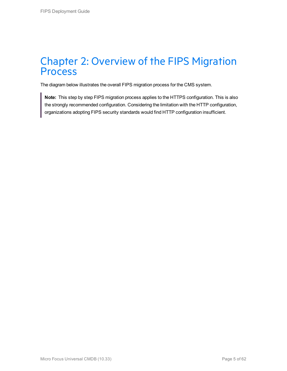### <span id="page-4-0"></span>Chapter 2: Overview of the FIPS Migration Process

The diagram below illustrates the overall FIPS migration process for the CMS system.

**Note:** This step by step FIPS migration process applies to the HTTPS configuration. This is also the strongly recommended configuration. Considering the limitation with the HTTP configuration, organizations adopting FIPS security standards would find HTTP configuration insufficient.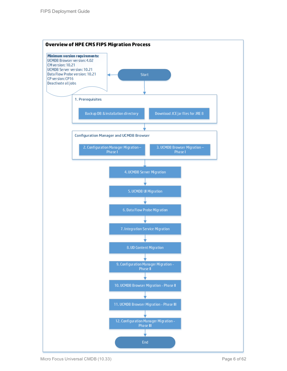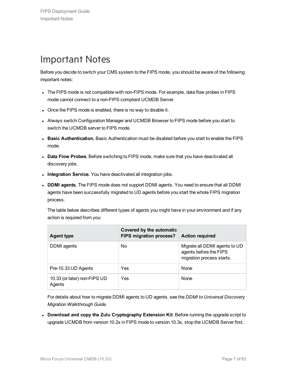## <span id="page-6-0"></span>Important Notes

Before you decide to switch your CMS system to the FIPS mode, you should be aware of the following important notes:

- The FIPS mode is not compatible with non-FIPS mode. For example, data flow probes in FIPS mode cannot connect to a non-FIPS compliant UCMDB Server.
- Once the FIPS mode is enabled, there is no way to disable it.
- Always switch Configuration Manager and UCMDB Browser to FIPS mode before you start to switch the UCMDB server to FIPS mode.
- **Basic Authentication.** Basic Authentication must be disabled before you start to enable the FIPS mode.
- <sup>l</sup> **Data Flow Probes.** Before switching to FIPS mode, make sure that you have deactivated all discovery jobs.
- **Integration Service.** You have deactivated all integration jobs.
- <sup>l</sup> **DDMI agents.** The FIPS mode does not support DDMI agents. You need to ensure that all DDMI agents have been successfully migrated to UD agents before you start the whole FIPS migration process.

The table below describes different types of agents you might have in your environment and if any action is required from you:

| <b>Agent type</b>                      | Covered by the automatic<br>FIPS migration process? | <b>Action required</b>                                                               |
|----------------------------------------|-----------------------------------------------------|--------------------------------------------------------------------------------------|
| DDMI agents                            | No                                                  | Migrate all DDMI agents to UD<br>agents before the FIPS<br>migration process starts. |
| Pre-10.33 UD Agents                    | Yes                                                 | None                                                                                 |
| 10.33 (or later) non-FIPS UD<br>Agents | Yes                                                 | None                                                                                 |

For details about how to migrate DDMI agents to UD agents, see the *DDMI to Universal Discovery Migration Walkthrough Guide*.

<sup>l</sup> **Download and copy the Zulu Cryptography Extension Kit**. Before running the upgrade script to upgrade UCMDB from version 10.2x in FIPS mode to version 10.3x, stop the UCMDB Server first,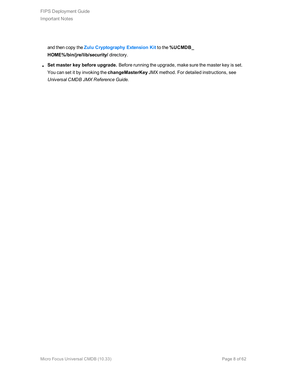and then copy the **[Zulu Cryptography Extension Kit](https://www.azul.com/products/zulu-and-zulu-enterprise/zulu-cryptography-extension-kit/)** to the **%UCMDB\_ HOME%/bin/jre/lib/security/** directory.

<sup>l</sup> **Set master key before upgrade.** Before running the upgrade, make sure the master key is set. You can set it by invoking the **changeMasterKey** JMX method. For detailed instructions, see *Universal CMDB JMX Reference Guide*.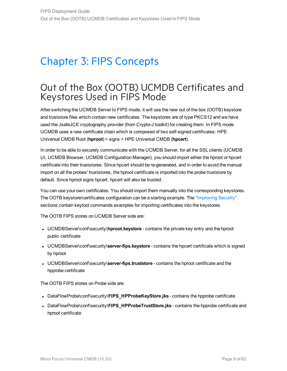## <span id="page-8-0"></span>Chapter 3: FIPS Concepts

### <span id="page-8-1"></span>Out of the Box (OOTB) UCMDB Certificates and Keystores Used in FIPS Mode

After switching the UCMDB Server to FIPS mode, it will use the new out of the box (OOTB) keystore and truststore files which contain new certificates. The keystores are of type PKCS12 and we have used the JsafeJCE cryptography provider (from Crypto-J toolkit) for creating them. In FIPS mode UCMDB uses a new certificate chain which is composed of two self-signed certificates: HPE Universal CMDB Root (**hproot**) > signs > HPE Universal CMDB (**hpcert**).

In order to be able to securely communicate with the UCMDB Server, for all the SSL clients (UCMDB UI, UCMDB Browser, UCMDB Configuration Manager), you should import either the hproot or hpcert certificate into their truststores. Since hpcert should be re-generated, and in order to avoid the manual import on all the probes' truststores, the hproot certificate is imported into the probe truststore by default. Since hproot signs hpcert, hpcert will also be trusted.

You can use your own certificates. You should import them manually into the corresponding keystores. The OOTB keystore/certificates configuration can be a starting example. The ["Improving](#page-43-0) Security" sections contain keytool commands examples for importing certificates into the keystores.

The OOTB FIPS stores on UCMDB Server side are:

- UCMDBServer\conf\security\hproot.keystore contains the private key entry and the hproot public certificate
- UCMDBServer\conf\security\server-fips.keystore contains the hpcert certificate which is signed by hproot
- **UCMDBServer\conf\security\server-fips.truststore** contains the hproot certificate and the hpprobe certificate

The OOTB FIPS stores on Probe side are:

- **DataFlowProbe\conf\security\FIPS\_HPProbeKeyStore.jks** contains the hpprobe certificate
- <sup>l</sup> DataFlowProbe\conf\security\**FIPS\_HPProbeTrustStore.jks** contains the hpprobe certificate and hproot certificate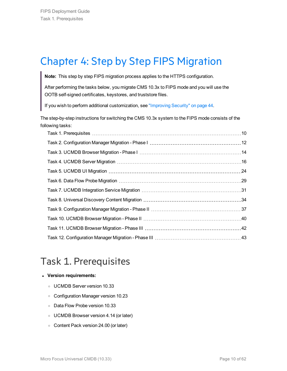## <span id="page-9-0"></span>Chapter 4: Step by Step FIPS Migration

**Note:** This step by step FIPS migration process applies to the HTTPS configuration.

After performing the tasks below, you migrate CMS 10.3x to FIPS mode and you will use the OOTB self-signed certificates, keystores, and truststore files.

If you wish to perform additional customization, see ["Improving](#page-43-0) Security" on page 44.

The step-by-step instructions for switching the CMS 10.3x system to the FIPS mode consists of the following tasks:

## <span id="page-9-1"></span>Task 1. Prerequisites

### <sup>l</sup> **Version requirements:**

- <sup>o</sup> UCMDB Server version 10.33
- <sup>o</sup> Configuration Manager version 10.23
- <sup>o</sup> Data Flow Probe version 10.33
- <sup>o</sup> UCMDB Browser version 4.14 (or later)
- <sup>o</sup> Content Pack version 24.00 (or later)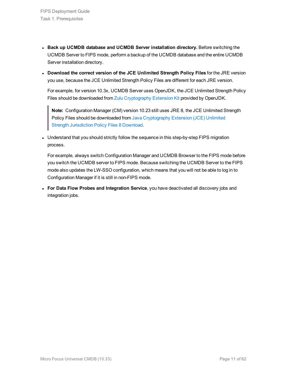- <sup>l</sup> **Back up UCMDB database and UCMDB Server installation directory.** Before switching the UCMDB Server to FIPS mode, perform a backup of the UCMDB database and the entire UCMDB Server installation directory.
- <sup>l</sup> **Download the correct version of the JCE Unlimited Strength Policy Files** for the JRE version you use, because the JCE Unlimited Strength Policy Files are different for each JRE version.

For example, for version 10.3x, UCMDB Server uses OpenJDK, the JCE Unlimited Strength Policy Files should be downloaded from Zulu [Cryptography](https://www.azul.com/products/zulu-and-zulu-enterprise/zulu-cryptography-extension-kit/) Extension Kit provided by OpenJDK.

**Note:** Configuration Manager (CM) version 10.23 still uses JRE 8, the JCE Unlimited Strength Policy Files should be downloaded from Java [Cryptography](http://www.oracle.com/technetwork/java/javase/downloads/jce8-download-2133166.html) Extension (JCE) Unlimited Strength [Jurisdiction](http://www.oracle.com/technetwork/java/javase/downloads/jce8-download-2133166.html) Policy Files 8 Download.

• Understand that you should strictly follow the sequence in this step-by-step FIPS migration process.

For example, always switch Configuration Manager and UCMDB Browser to the FIPS mode before you switch the UCMDB server to FIPS mode. Because switching the UCMDB Server to the FIPS mode also updates the LW-SSO configuration, which means that you will not be able to log in to Configuration Manager if it is still in non-FIPS mode.

<sup>l</sup> **For Data Flow Probes and Integration Service**, you have deactivated all discovery jobs and integration jobs.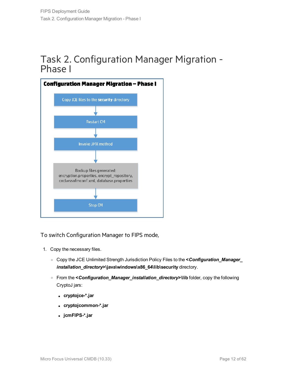### <span id="page-11-0"></span>Task 2. Configuration Manager Migration - Phase I



To switch Configuration Manager to FIPS mode,

- 1. Copy the necessary files.
	- <sup>o</sup> Copy the JCE Unlimited Strength Jurisdiction Policy Files to the **<***Configuration\_Manager\_ installation\_directory***>\java\windows\x86\_64\lib\security** directory.
	- <sup>o</sup> From the **<***Configuration\_Manager\_installation\_directory***>\lib** folder, copy the following CryptoJ jars:
		- <sup>l</sup> **cryptojce-\*.jar**
		- <sup>l</sup> **cryptojcommon-\*.jar**
		- <sup>l</sup> **jcmFIPS-\*.jar**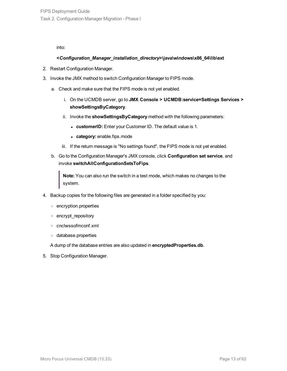into:

### **<***Configuration\_Manager\_installation\_directory***>\java\windows\x86\_64\lib\ext**

- 2. Restart Configuration Manager.
- 3. Invoke the JMX method to switch Configuration Manager to FIPS mode.
	- a. Check and make sure that the FIPS mode is not yet enabled.
		- i. On the UCMDB server, go to **JMX Console > UCMDB:service=Settings Services > showSettingsByCategory**.
		- ii. Invoke the **showSettingsByCategory** method with the following parameters:
			- **customerID:** Enter your Customer ID. The default value is 1.
			- category: enable.fips.mode
		- iii. If the return message is "No settings found", the FIPS mode is not yet enabled.
	- b. Go to the Configuration Manager's JMX console, click **Configuration set service**, and invoke **switchAllConfigurationSetsToFips**.

**Note:** You can also run the switch in a test mode, which makes no changes to the system.

- 4. Backup copies for the following files are generated in a folder specified by you:
	- <sup>o</sup> encryption.properties
	- <sup>o</sup> encrypt\_repository
	- <sup>o</sup> cnclwssofmconf.xml
	- <sup>o</sup> database.properties

A dump of the database entries are also updated in **encryptedProperties.db**.

5. Stop Configuration Manager.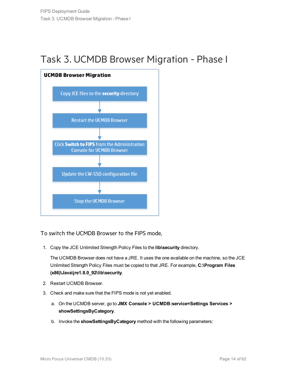## <span id="page-13-0"></span>Task 3. UCMDB Browser Migration - Phase I



To switch the UCMDB Browser to the FIPS mode,

1. Copy the JCE Unlimited Strength Policy Files to the **lib\security** directory.

The UCMDB Browser does not have a JRE. It uses the one available on the machine, so the JCE Unlimited Strength Policy Files must be copied to that JRE. For example, **C:\Program Files (x86)\Java\jre1.8.0\_92\lib\security**.

- 2. Restart UCMDB Browser.
- 3. Check and make sure that the FIPS mode is not yet enabled.
	- a. On the UCMDB server, go to **JMX Console > UCMDB:service=Settings Services > showSettingsByCategory**.
	- b. Invoke the **showSettingsByCategory** method with the following parameters: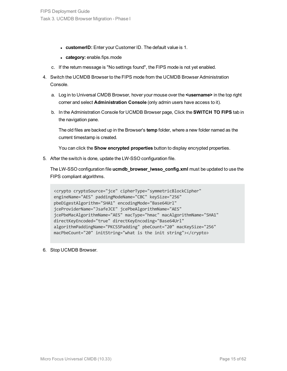- **customerID:** Enter your Customer ID. The default value is 1.
- category: enable.fips.mode
- c. If the return message is "No settings found", the FIPS mode is not yet enabled.
- 4. Switch the UCMDB Browser to the FIPS mode from the UCMDB Browser Administration Console.
	- a. Log in to Universal CMDB Browser, hover your mouse over the **<username>** in the top right corner and select **Administration Console** (only admin users have access to it).
	- b. In the Administration Console for UCMDB Browser page, Click the **SWITCH TO FIPS** tab in the navigation pane.

The old files are backed up in the Browser's **temp** folder, where a new folder named as the current timestamp is created.

You can click the **Show encrypted properties** button to display encrypted properties.

5. After the switch is done, update the LW-SSO configuration file.

The LW-SSO configuration file **ucmdb\_browser\_lwsso\_config.xml** must be updated to use the FIPS compliant algorithms.

```
<crypto cryptoSource="jce" cipherType="symmetricBlockCipher"
engineName="AES" paddingModeName="CBC" keySize="256"
pbeDigestAlgorithm="SHA1" encodingMode="Base64Url"
jceProviderName="JsafeJCE" jcePbeAlgorithmName="AES"
jcePbeMacAlgorithmName="AES" macType="hmac" macAlgorithmName="SHA1"
directKeyEncoded="true" directKeyEncoding="Base64Url"
algorithmPaddingName="PKCS5Padding" pbeCount="20" macKeySize="256"
macPbeCount="20" initString="what is the init string"></crypto>
```
6. Stop UCMDB Browser.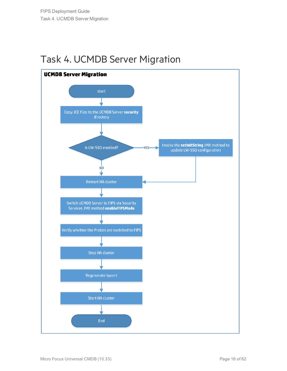## <span id="page-15-0"></span>Task 4. UCMDB Server Migration

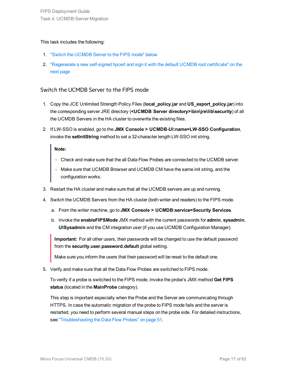### This task includes the following:

- 1. "Switch the [UCMDB](#page-16-0) Server to the FIPS mode" below
- 2. ["Regenerate](#page-17-0) a new self-signed hpcert and sign it with the default UCMDB root certificate" on the next [page](#page-17-0)

### <span id="page-16-0"></span>Switch the UCMDB Server to the FIPS mode

- 1. Copy the JCE Unlimited Strength Policy Files (**local\_policy.jar** and **US\_export\_policy.jar**) into the corresponding server JRE directory (**<UCMDB Server directory>\bin\jre\lib\security**) of all the UCMDB Servers in the HA cluster to overwrite the existing files.
- 2. If LW-SSO is enabled, go to the **JMX Console > UCMDB-UI:name=LW-SSO Configuration**, invoke the **setInitString** method to set a 32-character length LW-SSO init string.

### **Note:**

- o Check and make sure that the all Data Flow Probes are connected to the UCMDB server.
- o Make sure that UCMDB Browser and UCMDB CM have the same init string, and the configuration works.
- 3. Restart the HA cluster and make sure that all the UCMDB servers are up and running.
- 4. Switch the UCMDB Servers from the HA cluster (both writer and readers) to the FIPS mode.
	- a. From the writer machine, go to **JMX Console > UCMDB:service=Security Services**.
	- b. Invoke the **enableFIPSMode** JMX method with the current passwords for **admin**, **sysadmin**, **UISysadmin** and the CM integration user (if you use UCMDB Configuration Manager).

**Important:** For all other users, their passwords will be changed to use the default password from the **security.user.password.default** global setting.

Make sure you inform the users that their password will be reset to the default one.

5. Verify and make sure that all the Data Flow Probes are switched to FIPS mode.

To verify if a probe is switched to the FIPS mode, invoke the probe's JMX method **Get FIPS status** (located in the **MainProbe** category).

This step is important especially when the Probe and the Server are communicating through HTTPS. In case the automatic migration of the probe to FIPS mode fails and the server is restarted, you need to perform several manual steps on the probe side. For detailed instructions, see ["Troubleshooting](#page-50-1) the Data Flow Probes" on page 51.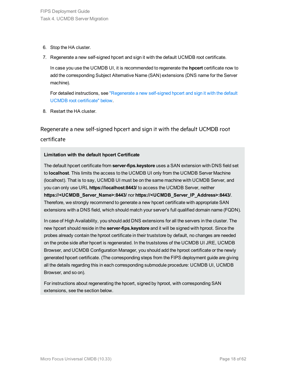- 6. Stop the HA cluster.
- 7. Regenerate a new self-signed hpcert and sign it with the default UCMDB root certificate.

In case you use the UCMDB UI, it is recommended to regenerate the **hpcert** certificate now to add the corresponding Subject Alternative Name (SAN) extensions (DNS name for the Server machine).

For detailed instructions, see ["Regenerate](#page-17-0) a new self-signed hpcert and sign it with the default UCMDB root [certificate"](#page-17-0) below.

<span id="page-17-0"></span>8. Restart the HA cluster.

Regenerate a new self-signed hpcert and sign it with the default UCMDB root certificate

### **Limitation with the default hpcert Certificate**

The default hpcert certificate from **server-fips.keystore** uses a SAN extension with DNS field set to **localhost**. This limits the access to the UCMDB UI only from the UCMDB Server Machine (localhost). That is to say, UCMDB UI must be on the same machine with UCMDB Server, and you can only use URL **https://localhost:8443/** to access the UCMDB Server, neither **https://<UCMDB\_Server\_Name>:8443/** nor **https://<UCMDB\_Server\_IP\_Address>:8443/**. Therefore, we strongly recommend to generate a new hpcert certificate with appropriate SAN extensions with a DNS field, which should match your server's full qualified domain name (FQDN).

In case of High Availability, you should add DNS extensions for all the servers in the cluster. The new hpcert should reside in the **server-fips.keystore** and it will be signed with hproot. Since the probes already contain the hproot certificate in their truststore by default, no changes are needed on the probe side after hpcert is regenerated. In the truststores of the UCMDB UI JRE, UCMDB Browser, and UCMDB Configuration Manager, you should add the hproot certificate or the newly generated hpcert certificate. (The corresponding steps from the FIPS deployment guide are giving all the details regarding this in each corresponding submodule procedure: UCMDB UI, UCMDB Browser, and so on).

For instructions about regenerating the hpcert, signed by hproot, with corresponding SAN extensions, see the section below.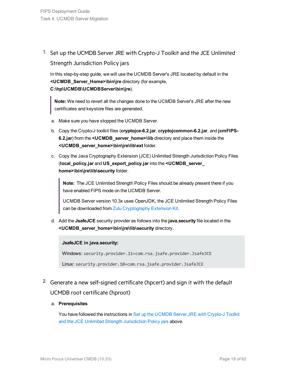<span id="page-18-0"></span>1. Set up the UCMDB Server JRE with Crypto-J Toolkit and the JCE Unlimited

### Strength Jurisdiction Policy jars

In this step-by-step guide, we will use the UCMDB Server's JRE located by default in the **<UCMDB\_Server\_Home>\bin\jre** directory (for example, **C:\hp\UCMDB\UCMDBServer\bin\jre**).

**Note:** We need to revert all the changes done to the UCMDB Server's JRE after the new certificates and keystore files are generated.

- a. Make sure you have stopped the UCMDB Server.
- b. Copy the Crypto-J toolkit files (**cryptojce-6.2.jar**, **cryptojcommon-6.2.jar**, and **jcmFIPS-6.2.jar**) from the **<UCMDB\_server\_home>\lib** directory and place them inside the **<UCMDB\_server\_home>\bin\jre\lib\ext** folder.
- c. Copy the Java Cryptography Extension (JCE) Unlimited Strength Jurisdiction Policy Files (**local\_policy.jar** and **US\_export\_policy.jar** into the **<UCMDB\_server\_ home>\bin\jre\lib\security** folder.

**Note:** The JCE Unlimited Strength Policy Files should be already present there if you have enabled FIPS mode on the UCMDB Server.

UCMDB Server version 10.3x uses OpenJDK, the JCE Unlimited Strength Policy Files can be downloaded from Zulu [Cryptography](https://www.azul.com/products/zulu-and-zulu-enterprise/zulu-cryptography-extension-kit/) Extension Kit.

d. Add the **JsafeJCE** security provider as follows into the **java.security** file located in the **<UCMDB\_server\_home>\bin\jre\lib\security** directory.

### **JsafeJCE in java.security:**

Windows: security.provider.11=com.rsa.jsafe.provider.JsafeJCE

<span id="page-18-1"></span>Linux: security.provider.10=com.rsa.jsafe.provider.JsafeJCE

2. Generate a new self-signed certificate (hpcert) and sign it with the default UCMDB root certificate (hproot)

### a. **Prerequisites**

You have followed the instructions in Set up the [UCMDB](#page-18-0) Server JRE with Crypto-J Toolkit and the JCE Unlimited Strength [Jurisdiction](#page-18-0) Policy jars above.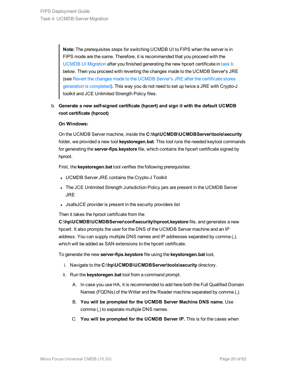**Note:** The prerequisites steps for switching UCMDB UI to FIPS when the server is in FIPS mode are the same. Therefore, it is recommended that you proceed with the UCMDB UI [Migration](#page-23-0) after you finished generating the new hpcert certificate in [task](#page-19-0) b below. Then you proceed with reverting the changes made to the UCMDB Server's JRE (see Revert the changes made to the UCMDB Server's JRE after the [certificate](#page-22-0) stores [generation](#page-22-0) is completed). This way you do not need to set up twice a JRE with Crypto-J toolkit and JCE Unlimited Strength Policy files.

### <span id="page-19-0"></span>b. **Generate a new self-signed certificate (hpcert) and sign it with the default UCMDB root certificate (hproot)**

### **On Windows:**

On the UCMDB Server machine, inside the **C:\hp\UCMDB\UCMDBServer\tools\security** folder, we provided a new tool **keystoregen.bat**. This tool runs the needed keytool commands for generating the **server-fips.keystore** file, which contains the hpcert certificate signed by hproot.

First, the **keystoregen.bat** tool verifies the following prerequisites:

- UCMDB Server JRE contains the Crypto-J Toolkit
- The JCE Unlimited Strength Jurisdiction Policy jars are present in the UCMDB Server JRE
- JsafeJCE provider is present in the security providers list

Then it takes the hproot certificate from the

**C:\hp\UCMDB\UCMDBServer\conf\security\hproot.keystore** file, and generates a new hpcert. It also prompts the user for the DNS of the UCMDB Server machine and an IP address. You can supply multiple DNS names and IP addresses separated by comma (,), which will be added as SAN extensions to the hpcert certificate.

To generate the new **server-fips.keystore** file using the **keystoregen.bat** tool,

- i. Navigate to the **C:\hp\UCMDB\UCMDBServer\tools\security** directory.
- ii. Run the **keystoregen.bat** tool from a command prompt.
	- A. In case you use HA, it is recommended to add here both the Full Qualified Domain Names (FQDNs) of the Writer and the Reader machine separated by comma (,).
	- B. **You will be prompted for the UCMDB Server Machine DNS name.** Use comma (,) to separate multiple DNS names.
	- C. **You will be prompted for the UCMDB Server IP.** This is for the cases when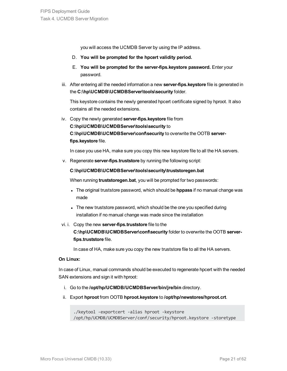you will access the UCMDB Server by using the IP address.

- D. **You will be prompted for the hpcert validity period.**
- E. **You will be prompted for the server-fips.keystore password.** Enter your password.
- iii. After entering all the needed information a new **server-fips.keystore** file is generated in the **C:\hp\UCMDB\UCMDBServer\tools\security** folder.

This keystore contains the newly generated hpcert certificate signed by hproot. It also contains all the needed extensions.

iv. Copy the newly generated **server-fips.keystore** file from **C:\hp\UCMDB\UCMDBServer\tools\security** to **C:\hp\UCMDB\UCMDBServer\conf\security** to overwrite the OOTB **serverfips.keystore** file.

In case you use HA, make sure you copy this new keystore file to all the HA servers.

v. Regenerate **server-fips.truststore** by running the following script:

### **C:\hp\UCMDB\UCMDBServer\tools\security\truststoregen.bat**

When running **truststoregen.bat**, you will be prompted for two passwords:

- **.** The original truststore password, which should be **hppass** if no manual change was made
- The new truststore password, which should be the one you specified during installation if no manual change was made since the installation
- vi. i. Copy the new **server-fips.truststore** file to the

**C:\hp\UCMDB\UCMDBServer\conf\security** folder to overwrite the OOTB **serverfips.truststore** file.

In case of HA, make sure you copy the new truststore file to all the HA servers.

### **On Linux:**

In case of Linux, manual commands should be executed to regenerate hpcert with the needed SAN extensions and sign it with hproot:

- i. Go to the **/opt/hp/UCMDB/UCMDBServer/bin/jre/bin** directory.
- ii. Export **hproot** from OOTB **hproot.keystore** to **/opt/hp/newstores/hproot.crt**.

```
./keytool -exportcert -alias hproot -keystore
/opt/hp/UCMDB/UCMDBServer/conf/security/hproot.keystore -storetype
```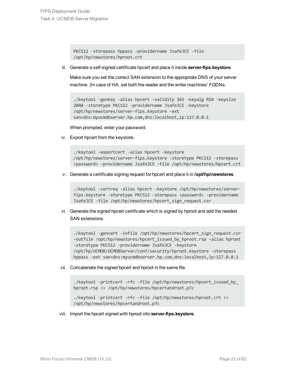```
PKCS12 -storepass hppass -providername JsafeJCE -file
/opt/hp/newstores/hproot.crt
```
iii. Generate a self-signed certificate hpcert and place it inside **server-fips.keystore**.

Make sure you set the correct SAN extension to the appropriate DNS of your server machine. (In case of HA, set both the reader and the writer machines' FQDNs.

```
./keytool -genkey -alias hpcert -validity 365 -keyalg RSA -keysize
2048 -storetype PKCS12 -providername JsafeJCE -keystore
/opt/hp/newstores/server-fips.keystore -ext
san=dns:myucmdbserver.hp.com,dns:localhost,ip:127.0.0.1
```
When prompted, enter your password.

iv. Export hpcert from the keystore.

./keytool -exportcert -alias hpcert -keystore /opt/hp/newstores/server-fips.keystore -storetype PKCS12 -storepass <password> -providername JsafeJCE -file /opt/hp/newstores/hpcert.crt

v. Generate a certificate signing request for hpcert and place it in **/opt/hp/newstores**.

./keytool -certreq -alias hpcert -keystore /opt/hp/newstores/serverfips.keystore -storetype PKCS12 -storepass <password> -providername JsafeJCE -file /opt/hp/newstores/hpcert\_sign\_request.csr

vi. Generate the signed hpcert certificate which is signed by hproot and add the needed SAN extensions.

./keytool -gencert -infile /opt/hp/newstores/hpcert sign request.csr -outfile /opt/hp/newstores/hpcert issued by hproot.rsp -alias hproot -storetype PKCS12 -providername JsafeJCE -keystore /opt/hp/UCMDB/UCMDBServer/conf/security/hproot.keystore -storepass hppass -ext san=dns:myucmdbserver.hp.com,dns:localhost,ip:127.0.0.1

vii. Concatenate the signed hpcert and hproot in the same file.

```
./keytool -printcert -rfc -file /opt/hp/newstores/hpcert issued by
hproot.rsp >> /opt/hp/newstores/hpcertandroot.p7c
./keytool -printcert -rfc -file /opt/hp/newstores/hproot.crt >>
```
/opt/hp/newstores/hpcertandroot.p7c

viii. Import the hpcert signed with hproot into **server-fips.keystore**.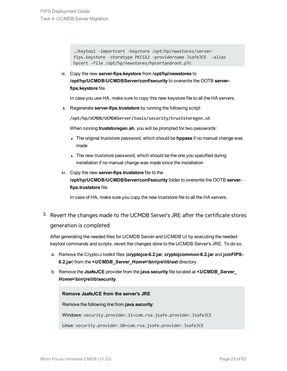```
./keytool -importcert -keystore /opt/hp/newstores/server-
fips.keystore -storetype PKCS12 -providername JsafeJCE -alias
hpcert -file /opt/hp/newstores/hpcertandroot.p7c
```
ix. Copy the new **server-fips.keystore** from **/opt/hp/newstores** to **/opt/hp/UCMDB/UCMDBServer/conf/security** to overwrite the OOTB **serverfips.keystore** file.

In case you use HA, make sure to copy this new keystore file to all the HA servers.

x. Regenerate **server-fips.truststore** by running the following script:

**/opt/hp/UCMDB/UCMDBServer/tools/security/truststoregen.sh**

When running **truststoregen.sh**, you will be prompted for two passwords:

- <sup>l</sup> The original truststore password, which should be **hppass** if no manual change was made
- The new truststore password, which should be the one you specified during installation if no manual change was made since the installation
- xi. Copy the new **server-fips.truststore** file to the **/opt/hp/UCMDB/UCMDBServer/conf/security** folder to overwrite the OOTB **serverfips.truststore** file.

<span id="page-22-1"></span>In case of HA, make sure you copy the new truststore file to all the HA servers.

<span id="page-22-0"></span><sup>3.</sup> Revert the changes made to the UCMDB Server's JRE after the certificate stores generation is completed

After generating the needed files for UCMDB Server and UCMDB UI by executing the needed keytool commands and scripts, revert the changes done to the UCMDB Server's JRE. To do so,

- a. Remove the Crypto-J toolkit files (**cryptojce-6.2.jar**, **cryptojcommon-6.2.jar** and **jcmFIPS-6.2.jar**) from the **<***UCMDB\_Server\_Home***>\bin\jre\lib\ext** directory.
- b. Remove the **JsafeJCE** provider from the **java.security** file located at **<***UCMDB\_Server\_ Home***>\bin\jre\lib\security**.

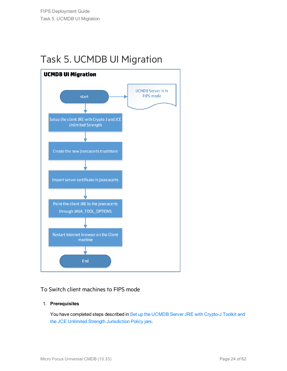## <span id="page-23-0"></span>Task 5. UCMDB UI Migration



### To Switch client machines to FIPS mode

### 1. **Prerequisites**

You have completed steps described in Set up the [UCMDB](#page-18-0) Server JRE with Crypto-J Toolkit and the JCE Unlimited Strength [Jurisdiction](#page-18-0) Policy jars.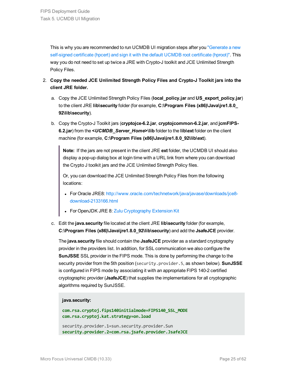This is why you are recommended to run UCMDB UI migration steps after you ["Generate](#page-18-1) a new [self-signed](#page-18-1) certificate (hpcert) and sign it with the default UCMDB root certificate (hproot)". This way you do not need to set up twice a JRE with Crypto-J toolkit and JCE Unlimited Strength Policy Files.

- 2. **Copy the needed JCE Unlimited Strength Policy Files and Crypto-J Toolkit jars into the client JRE folder.**
	- a. Copy the JCE Unlimited Strength Policy Files (**local\_policy.jar** and **US\_export\_policy.jar**) to the client JRE **lib\security** folder (for example, **C:\Program Files (x86)\Java\jre1.8.0\_ 92\lib\security**).
	- b. Copy the Crypto-J Toolkit jars (**cryptojce-6.2.jar**, **cryptojcommon-6.2.jar**, and **jcmFIPS-6.2.jar**) from the **<***UCMDB\_Server\_Home***>\lib** folder to the **lib\ext** folder on the client machine (for example, **C:\Program Files (x86)\Java\jre1.8.0\_92\lib\ext**).

**Note:** If the jars are not present in the client JRE **ext** folder, the UCMDB UI should also display a pop-up dialog box at login time with a URL link from where you can download the Crypto J toolkit jars and the JCE Unlimited Strength Policy files.

Or, you can download the JCE Unlimited Strength Policy Files from the following locations:

- For Oracle JRE8: [http://www.oracle.com/technetwork/java/javase/downloads/jce8](http://www.oracle.com/technetwork/java/javase/downloads/jce8-download-2133166.html) [download-2133166.html](http://www.oracle.com/technetwork/java/javase/downloads/jce8-download-2133166.html)
- For OpenJDK JRE 8: Zulu [Cryptography](https://www.azul.com/products/zulu-and-zulu-enterprise/zulu-cryptography-extension-kit/) Extension Kit
- c. Edit the **java.security** file located at the client JRE **lib\security** folder (for example, **C:\Program Files (x86)\Java\jre1.8.0\_92\lib\security**) and add the **JsafeJCE** provider.

The **java.security** file should contain the **JsafeJCE** provider as a standard cryptography provider in the providers list. In addition, for SSL communication we also configure the **SunJSSE** SSL provider in the FIPS mode. This is done by performing the change to the security provider from the 5th position (security.provider.5, as shown below). **SunJSSE** is configured in FIPS mode by associating it with an appropriate FIPS 140-2 certified cryptographic provider (**JsafeJCE**) that supplies the implementations for all cryptographic algorithms required by SunJSSE.

### **java.security:**

```
com.rsa.cryptoj.fips140initialmode=FIPS140_SSL_MODE
com.rsa.cryptoj.kat.strategy=on.load
```

```
security.provider.1=sun.security.provider.Sun
security.provider.2=com.rsa.jsafe.provider.JsafeJCE
```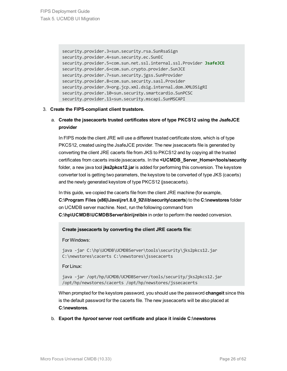```
security.provider.3=sun.security.rsa.SunRsaSign
security.provider.4=sun.security.ec.SunEC
security.provider.5=com.sun.net.ssl.internal.ssl.Provider JsafeJCE
security.provider.6=com.sun.crypto.provider.SunJCE
security.provider.7=sun.security.jgss.SunProvider
security.provider.8=com.sun.security.sasl.Provider
security.provider.9=org.jcp.xml.dsig.internal.dom.XMLDSigRI
security.provider.10=sun.security.smartcardio.SunPCSC
security.provider.11=sun.security.mscapi.SunMSCAPI
```
### 3. **Create the FIPS-compliant client truststore.**

### a. **Create the jssecacerts trusted certificates store of type PKCS12 using the JsafeJCE provider**

In FIPS mode the client JRE will use a different trusted certificate store, which is of type PKCS12, created using the JsafeJCE provider. The new jssecacerts file is generated by converting the client JRE cacerts file from JKS to PKCS12 and by copying all the trusted certificates from cacerts inside jssecacerts. In the **<UCMDB\_Server\_Home>/tools/security** folder, a new java tool **jks2pkcs12.jar** is added for performing this conversion. The keystore converter tool is getting two parameters, the keystore to be converted of type JKS (cacerts) and the newly generated keystore of type PKCS12 (jssecacerts).

In this guide, we copied the cacerts file from the client JRE machine (for example, **C:\Program Files (x86)\Java\jre1.8.0\_92\lib\security\cacerts**) to the **C:\newstores** folder on UCMDB server machine. Next, run the following command from **C:\hp\UCMDB\UCMDBServer\bin\jre\bin** in order to perform the needed conversion.

### **Create jssecacerts by converting the client JRE cacerts file:**

For Windows:

java -jar C:\hp\UCMDB\UCMDBServer\tools\security\jks2pkcs12.jar C:\newstores\cacerts C:\newstores\jssecacerts

For Linux:

java -jar /opt/hp/UCMDB/UCMDBServer/tools/security/jks2pkcs12.jar /opt/hp/newstores/cacerts /opt/hp/newstores/jssecacerts

When prompted for the keystore password, you should use the password **changeit** since this is the default password for the cacerts file. The new jssecacerts will be also placed at **C:\newstores**.

b. **Export the** *hproot* **server root certificate and place it inside C:\newstores**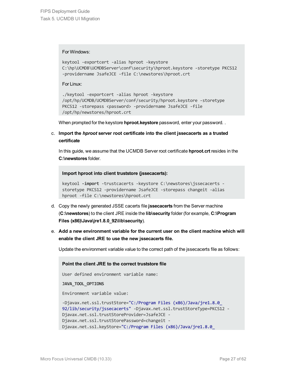For Windows:

```
keytool -exportcert -alias hproot -keystore
C:\hp\UCMDB\UCMDBServer\conf\security\hproot.keystore -storetype PKCS12
-providername JsafeJCE -file C:\newstores\hproot.crt
```
For Linux:

```
./keytool -exportcert -alias hproot -keystore
/opt/hp/UCMDB/UCMDBServer/conf/security/hproot.keystore -storetype
PKCS12 -storepass <password> -providername JsafeJCE -file
/opt/hp/newstores/hproot.crt
```
When prompted for the keystore **hproot.keystore** password, enter your password. .

c. **Import the** *hproot* **server root certificate into the client jssecacerts as a trusted certificate**

In this guide, we assume that the UCMDB Server root certificate **hproot.crt** resides in the **C:\newstores** folder.

**Import hproot into client truststore (jssecacerts):**

```
keytool -import -trustcacerts -keystore C:\newstores\jssecacerts -
storetype PKCS12 -providername JsafeJCE -storepass changeit -alias
hproot -file C:\newstores\hproot.crt
```
- d. Copy the newly generated JSSE cacerts file **jssecacerts** from the Server machine (**C:\newstores**) to the client JRE inside the **lib\security** folder (for example, **C:\Program Files (x86)\Java\jre1.8.0\_92\lib\security**).
- e. **Add a new environment variable for the current user on the client machine which will enable the client JRE to use the new jssecacerts file.**

Update the environment variable value to the correct path of the jssecacerts file as follows:

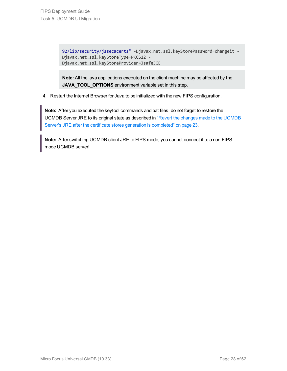92/lib/security/jssecacerts" -Djavax.net.ssl.keyStorePassword=changeit - Djavax.net.ssl.keyStoreType=PKCS12 - Djavax.net.ssl.keyStoreProvider=JsafeJCE

**Note:** All the java applications executed on the client machine may be affected by the **JAVA\_TOOL\_OPTIONS** environment variable set in this step.

4. Restart the Internet Browser for Java to be initialized with the new FIPS configuration.

**Note:** After you executed the keytool commands and bat files, do not forget to restore the UCMDB Server JRE to its original state as described in "Revert the changes made to the [UCMDB](#page-22-1) Server's JRE after the certificate stores generation is [completed"](#page-22-1) on page 23.

**Note:** After switching UCMDB client JRE to FIPS mode, you cannot connect it to a non-FIPS mode UCMDB server!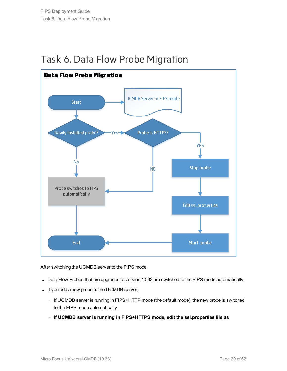

## <span id="page-28-0"></span>Task 6. Data Flow Probe Migration

After switching the UCMDB server to the FIPS mode,

- Data Flow Probes that are upgraded to version 10.33 are switched to the FIPS mode automatically.
- If you add a new probe to the UCMDB server,
	- o If UCMDB server is running in FIPS+HTTP mode (the default mode), the new probe is switched to the FIPS mode automatically.
	- <sup>o</sup> **If UCMDB server is running in FIPS+HTTPS mode, edit the ssl.properties file as**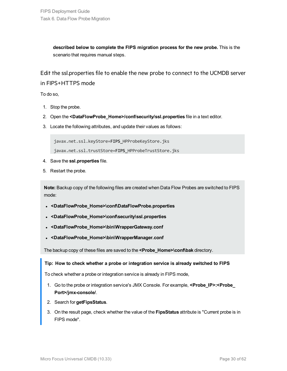**described below to complete the FIPS migration process for the new probe.** This is the scenario that requires manual steps.

Edit the ssl.properties file to enable the new probe to connect to the UCMDB server in FIPS+HTTPS mode

To do so,

- 1. Stop the probe.
- 2. Open the **<DataFlowProbe\_Home>/conf/security/ssl.properties** file in a text editor.
- 3. Locate the following attributes, and update their values as follows:

javax.net.ssl.keyStore=**FIPS\_**HPProbeKeyStore.jks

javax.net.ssl.trustStore=**FIPS\_**HPProbeTrustStore.jks

- 4. Save the **ssl.properties** file.
- 5. Restart the probe.

**Note:** Backup copy of the following files are created when Data Flow Probes are switched to FIPS mode:

- <sup>l</sup> **<DataFlowProbe\_Home>\conf\DataFlowProbe.properties**
- <sup>l</sup> **<DataFlowProbe\_Home>\conf\security\ssl.properties**
- <sup>l</sup> **<DataFlowProbe\_Home>\bin\WrapperGateway.conf**
- <sup>l</sup> **<DataFlowProbe\_Home>\bin\WrapperManager.conf**

The backup copy of these files are saved to the **<Probe\_Home>\conf\bak** directory.

### **Tip: How to check whether a probe or integration service is already switched to FIPS**

To check whether a probe or integration service is already in FIPS mode,

- 1. Go to the probe or integration service's JMX Console. For example, **<Probe\_IP>:<Probe\_ Port>/jmx-console/**.
- 2. Search for **getFipsStatus**.
- 3. On the result page, check whether the value of the **FipsStatus** attribute is "Current probe is in FIPS mode".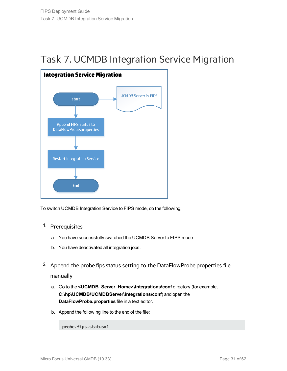## <span id="page-30-0"></span>Task 7. UCMDB Integration Service Migration



To switch UCMDB Integration Service to FIPS mode, do the following,

- 1. Prerequisites
	- a. You have successfully switched the UCMDB Server to FIPS mode.
	- b. You have deactivated all integration jobs.
- <span id="page-30-1"></span><sup>2.</sup> Append the probe.fips.status setting to the DataFlowProbe.properties file manually
	- a. Go to the **<UCMDB\_Server\_Home>\integrations\conf** directory (for example, **C:\hp\UCMDB\UCMDBServer\integrations\conf**) and open the **DataFlowProbe.properties** file in a text editor.
	- b. Append the following line to the end of the file:

**probe.fips.status=1**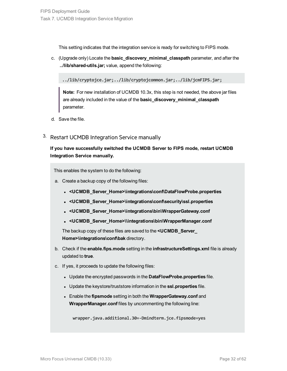This setting indicates that the integration service is ready for switching to FIPS mode.

c. (Upgrade only) Locate the **basic\_discovery\_minimal\_classpath** parameter, and after the **../lib/shared-utils.jar;** value, append the following:

**../lib/cryptojce.jar;../lib/cryptojcommon.jar;../lib/jcmFIPS.jar;**

**Note:** For new installation of UCMDB 10.3x, this step is not needed, the above jar files are already included in the value of the **basic\_discovery\_minimal\_classpath** parameter.

- <span id="page-31-1"></span>d. Save the file.
- 3. Restart UCMDB Integration Service manually

**If you have successfully switched the UCMDB Server to FIPS mode, restart UCMDB Integration Service manually.**

<span id="page-31-0"></span>This enables the system to do the following:

- a. Create a backup copy of the following files:
	- <sup>l</sup> **<UCMDB\_Server\_Home>\integrations\conf\DataFlowProbe.properties**
	- <sup>l</sup> **<UCMDB\_Server\_Home>\integrations\conf\security\ssl.properties**
	- <sup>l</sup> **<UCMDB\_Server\_Home>\integrations\bin\WrapperGateway.conf**
	- <sup>l</sup> **<UCMDB\_Server\_Home>\\integrations\bin\WrapperManager.conf**

The backup copy of these files are saved to the **<UCMDB\_Server\_ Home>\integrations\conf\bak** directory.

- b. Check if the **enable.fips.mode** setting in the **infrastructureSettings.xml** file is already updated to **true**.
- c. If yes, it proceeds to update the following files:
	- **.** Update the encrypted passwords in the **DataFlowProbe.properties** file.
	- **.** Update the keystore/truststore information in the ssl.properties file.
	- <sup>l</sup> Enable the **fipsmode** setting in both the **WrapperGateway.conf** and **WrapperManager.conf** files by uncommenting the following line:

**wrapper.java.additional.30=-Dmindterm.jce.fipsmode=yes**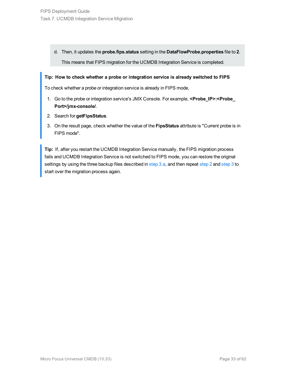d. Then, it updates the **probe.fips.status** setting in the **DataFlowProbe.properties** file to **2**. This means that FIPS migration for the UCMDB Integration Service is completed.

### **Tip: How to check whether a probe or integration service is already switched to FIPS**

To check whether a probe or integration service is already in FIPS mode,

- 1. Go to the probe or integration service's JMX Console. For example, **<Probe\_IP>:<Probe\_ Port>/jmx-console/**.
- 2. Search for **getFipsStatus**.
- 3. On the result page, check whether the value of the **FipsStatus** attribute is "Current probe is in FIPS mode".

**Tip:** If, after you restart the UCMDB Integration Service manually, the FIPS migration process fails and UCMDB Integration Service is not switched to FIPS mode, you can restore the original settings by using the three backup files described in [step](#page-31-1) 3.a, and then repeat step 2 and step 3 to start over the migration process again.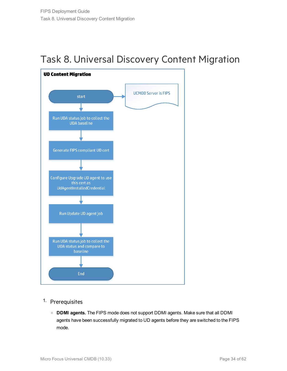<span id="page-33-0"></span>



- 1. Prerequisites
	- <sup>o</sup> **DDMI agents.** The FIPS mode does not support DDMI agents. Make sure that all DDMI agents have been successfully migrated to UD agents before they are switched to the FIPS mode.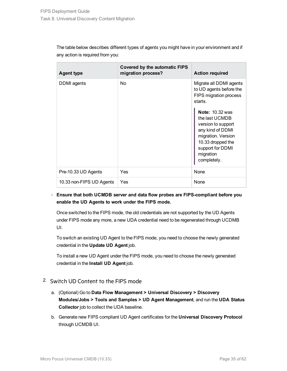The table below describes different types of agents you might have in your environment and if any action is required from you:

| <b>Agent type</b>        | <b>Covered by the automatic FIPS</b><br>migration process? | <b>Action required</b>                                                                                                                                                        |
|--------------------------|------------------------------------------------------------|-------------------------------------------------------------------------------------------------------------------------------------------------------------------------------|
| DDMI agents              | No                                                         | Migrate all DDMI agents<br>to UD agents before the<br>FIPS migration process<br>starts.                                                                                       |
|                          |                                                            | <b>Note: 10.32 was</b><br>the last UCMDB<br>version to support<br>any kind of DDMI<br>migration. Version<br>10.33 dropped the<br>support for DDMI<br>migration<br>completely. |
| Pre-10.33 UD Agents      | Yes                                                        | None                                                                                                                                                                          |
| 10.33 non-FIPS UD Agents | Yes                                                        | None                                                                                                                                                                          |

### <sup>o</sup> **Ensure that both UCMDB server and data flow probes are FIPS-compliant before you enable the UD Agents to work under the FIPS mode.**

Once switched to the FIPS mode, the old credentials are not supported by the UD Agents under FIPS mode any more, a new UDA credential need to be regenerated through UCDMB UI.

To switch an existing UD Agent to the FIPS mode, you need to choose the newly generated credential in the **Update UD Agent** job.

To install a new UD Agent under the FIPS mode, you need to choose the newly generated credential in the **Install UD Agent** job.

### 2. Switch UD Content to the FIPS mode

- a. (Optional) Go to **Data Flow Management > Universal Discovery > Discovery Modules/Jobs > Tools and Samples > UD Agent Management**, and run the **UDA Status Collector** job to collect the UDA baseline.
- b. Generate new FIPS compliant UD Agent certificates for the **Universal Discovery Protocol** through UCMDB UI.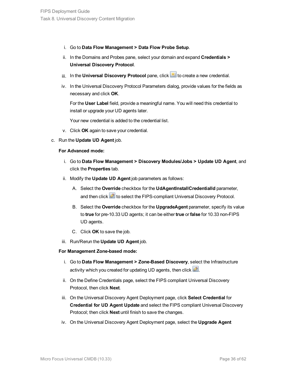- i. Go to **Data Flow Management > Data Flow Probe Setup**.
- ii. In the Domains and Probes pane, select your domain and expand **Credentials > Universal Discovery Protocol**.
- iii. In the **Universal Discovery Protocol** pane, click **in the create a new credential**.
- iv. In the Universal Discovery Protocol Parameters dialog, provide values for the fields as necessary and click **OK**.

For the **User Label** field, provide a meaningful name. You will need this credential to install or upgrade your UD agents later.

Your new credential is added to the credential list.

- v. Click **OK** again to save your credential.
- c. Run the **Update UD Agent** job.

### **For Advanced mode:**

- i. Go to **Data Flow Management > Discovery Modules/Jobs > Update UD Agent**, and click the **Properties** tab.
- ii. Modify the **Update UD Agent** job parameters as follows:
	- A. Select the **Override** checkbox for the **UdAgentInstallCredentialId** parameter, and then click **the select the FIPS-compliant Universal Discovery Protocol.**
	- B. Select the **Override** checkbox for the **UpgradeAgent** parameter, specify its value to **true** for pre-10.33 UD agents; it can be either **true** or **false** for 10.33 non-FIPS UD agents.
	- C. Click **OK** to save the job.
- iii. Run/Rerun the **Update UD Agent** job.

### **For Management Zone-based mode:**

- i. Go to **Data Flow Management > Zone-Based Discovery**, select the Infrastructure activity which you created for updating UD agents, then click  $\mathcal{Q}$ .
- ii. On the Define Credentials page, select the FIPS compliant Universal Discovery Protocol, then click **Next**.
- iii. On the Universal Discovery Agent Deployment page, click **Select Credential** for **Credential for UD Agent Update** and select the FIPS compliant Universal Discovery Protocol; then click **Next** until finish to save the changes.
- iv. On the Universal Discovery Agent Deployment page, select the **Upgrade Agent**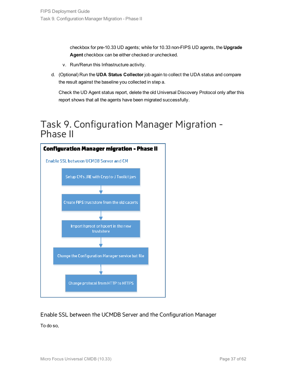checkbox for pre-10.33 UD agents; while for 10.33 non-FIPS UD agents, the **Upgrade Agent** checkbox can be either checked or unchecked.

- v. Run/Rerun this Infrastructure activity.
- d. (Optional) Run the **UDA Status Collector** job again to collect the UDA status and compare the result against the baseline you collected in step a.

Check the UD Agent status report, delete the old Universal Discovery Protocol only after this report shows that all the agents have been migrated successfully.

### <span id="page-36-0"></span>Task 9. Configuration Manager Migration - Phase II



### Enable SSL between the UCMDB Server and the Configuration Manager

To do so,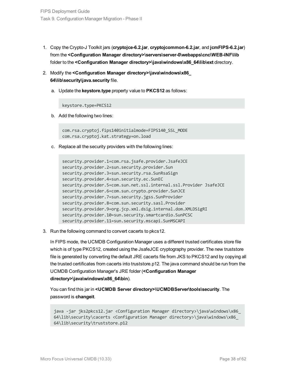- 1. Copy the Crypto-J Toolkit jars (**cryptojce-6.2.jar**, **cryptojcommon-6.2.jar**, and **jcmFIPS-6.2.jar**) from the **<Configuration Manager directory>\servers\server-0\webapps\cnc\WEB-INF\lib** folder to the **<Configuration Manager directory>\java\windows\x86\_64\lib\ext** directory.
- 2. Modify the **<Configuration Manager directory>\java\windows\x86\_ 64\lib\security\java.security** file.
	- a. Update the **keystore.type** property value to **PKCS12** as follows:

keystore.type=PKCS12

b. Add the following two lines:

com.rsa.cryptoj.fips140initialmode=FIPS140\_SSL\_MODE com.rsa.cryptoj.kat.strategy=on.load

c. Replace all the security providers with the following lines:

```
security.provider.1=com.rsa.jsafe.provider.JsafeJCE
security.provider.2=sun.security.provider.Sun
security.provider.3=sun.security.rsa.SunRsaSign
security.provider.4=sun.security.ec.SunEC
security.provider.5=com.sun.net.ssl.internal.ssl.Provider JsafeJCE
security.provider.6=com.sun.crypto.provider.SunJCE
security.provider.7=sun.security.jgss.SunProvider
security.provider.8=com.sun.security.sasl.Provider
security.provider.9=org.jcp.xml.dsig.internal.dom.XMLDSigRI
security.provider.10=sun.security.smartcardio.SunPCSC
security.provider.11=sun.security.mscapi.SunMSCAPI
```
3. Run the following command to convert cacerts to pkcs12.

In FIPS mode, the UCMDB Configuration Manager uses a different trusted certificates store file which is of type PKCS12, created using the JsafeJCE cryptography provider. The new truststore file is generated by converting the default JRE cacerts file from JKS to PKCS12 and by copying all the trusted certificates from cacerts into truststore.p12. The java command should be run from the UCMDB Configuration Manager's JRE folder (**<Configuration Manager directory>\java\windows\x86\_64\bin**).

You can find this jar in **<UCMDB Server directory>\UCMDBServer\tools\security**. The password is **changeit**.

```
java -jar jks2pkcs12.jar <Configuration Manager directory>\java\windows\x86_
64\lib\security\cacerts <Configuration Manager directory>\java\windows\x86_
64\lib\security\truststore.p12
```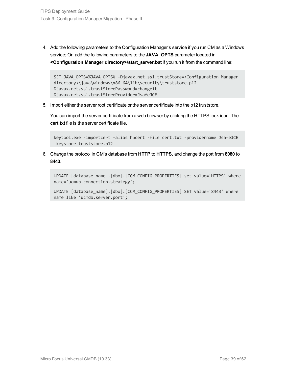4. Add the following parameters to the Configuration Manager's service if you run CM as a Windows service; Or, add the following parameters to the **JAVA\_OPTS** parameter located in **<Configuration Manager directory>\start\_server.bat** if you run it from the command line:

```
SET JAVA_OPTS=%JAVA_OPTS% -Djavax.net.ssl.trustStore=<Configuration Manager
directory>\java\windows\x86_64\lib\security\truststore.p12 -
Djavax.net.ssl.trustStorePassword=changeit -
Djavax.net.ssl.trustStoreProvider=JsafeJCE
```
5. Import either the server root certificate or the server certificate into the p12 truststore.

You can import the server certificate from a web browser by clicking the HTTPS lock icon. The **cert.txt** file is the server certificate file.

keytool.exe -importcert -alias hpcert -file cert.txt -providername JsafeJCE -keystore truststore.p12

6. Change the protocol in CM's database from **HTTP** to **HTTPS**, and change the port from **8080** to **8443**.

```
UPDATE [database name].[dbo].[CCM CONFIG PROPERTIES] set value='HTTPS' where
name='ucmdb.connection.strategy';
```

```
UPDATE [database name].[dbo].[CCM_CONFIG_PROPERTIES] SET value='8443' where
name like 'ucmdb.server.port';
```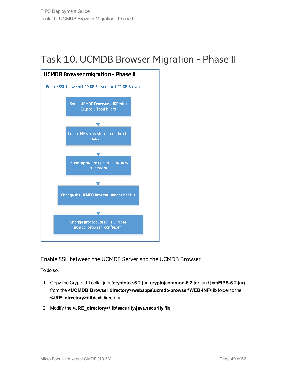## <span id="page-39-0"></span>Task 10. UCMDB Browser Migration - Phase II



Enable SSL between the UCMDB Server and the UCMDB Browser

To do so,

- 1. Copy the Crypto-J Toolkit jars (**cryptojce-6.2.jar**, **cryptojcommon-6.2.jar**, and **jcmFIPS-6.2.jar**) from the **<UCMDB Browser directory>\webapps\ucmdb-browser\WEB-INF\lib** folder to the **<JRE\_directory>\lib\ext** directory.
- 2. Modify the **<JRE\_directory>\lib\security\java.security** file.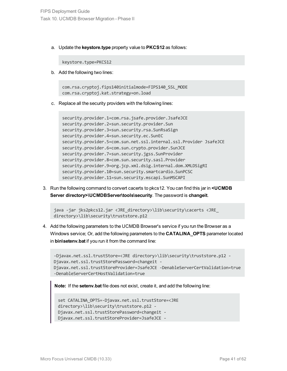a. Update the **keystore.type** property value to **PKCS12** as follows:

keystore.type=PKCS12

b. Add the following two lines:

com.rsa.cryptoj.fips140initialmode=FIPS140\_SSL\_MODE com.rsa.cryptoj.kat.strategy=on.load

c. Replace all the security providers with the following lines:

```
security.provider.1=com.rsa.jsafe.provider.JsafeJCE
security.provider.2=sun.security.provider.Sun
security.provider.3=sun.security.rsa.SunRsaSign
security.provider.4=sun.security.ec.SunEC
security.provider.5=com.sun.net.ssl.internal.ssl.Provider JsafeJCE
security.provider.6=com.sun.crypto.provider.SunJCE
security.provider.7=sun.security.jgss.SunProvider
security.provider.8=com.sun.security.sasl.Provider
security.provider.9=org.jcp.xml.dsig.internal.dom.XMLDSigRI
security.provider.10=sun.security.smartcardio.SunPCSC
security.provider.11=sun.security.mscapi.SunMSCAPI
```
3. Run the following command to convert cacerts to pkcs12. You can find this jar in **<UCMDB Server directory>\UCMDBServer\tools\security**. The password is **changeit**.

```
java -jar jks2pkcs12.jar <JRE_directory>\lib\security\cacerts <JRE_
directory>\lib\security\truststore.p12
```
4. Add the following parameters to the UCMDB Browser's service if you run the Browser as a Windows service; Or, add the following parameters to the **CATALINA\_OPTS** parameter located in **bin\setenv.bat** if you run it from the command line:

```
-Djavax.net.ssl.trustStore=<JRE directory>\lib\security\truststore.p12 -
Djavax.net.ssl.trustStorePassword=changeit -
Djavax.net.ssl.trustStoreProvider=JsafeJCE -DenableServerCertValidation=true
-DenableServerCertHostValidation=true
```
**Note:** If the **setenv.bat** file does not exist, create it, and add the following line:

```
set CATALINA_OPTS=-Djavax.net.ssl.trustStore=<JRE
directory>\lib\security\truststore.p12 -
Djavax.net.ssl.trustStorePassword=changeit -
Djavax.net.ssl.trustStoreProvider=JsafeJCE -
```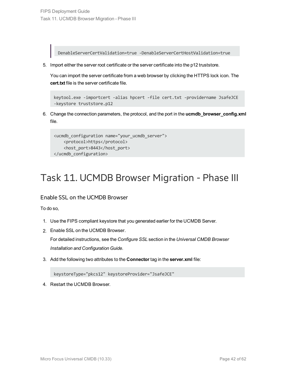DenableServerCertValidation=true -DenableServerCertHostValidation=true

5. Import either the server root certificate or the server certificate into the p12 truststore.

You can import the server certificate from a web browser by clicking the HTTPS lock icon. The **cert.txt** file is the server certificate file.

```
keytool.exe -importcert -alias hpcert -file cert.txt -providername JsafeJCE
-keystore truststore.p12
```
6. Change the connection parameters, the protocol, and the port in the **ucmdb\_browser\_config.xml** file.

```
<ucmdb_configuration name="your_ucmdb_server">
   <protocol>https</protocol>
    <host_port>8443</host_port>
</ucmdb_configuration>
```
## <span id="page-41-0"></span>Task 11. UCMDB Browser Migration - Phase III

### Enable SSL on the UCMDB Browser

To do so,

- 1. Use the FIPS compliant keystore that you generated earlier for the UCMDB Server.
- 2. Enable SSL on the UCMDB Browser.

For detailed instructions, see the *Configure SSL* section in the *Universal CMDB Browser Installation and Configuration Guide*.

3. Add the following two attributes to the **Connector** tag in the **server.xml** file:

keystoreType="pkcs12" keystoreProvider="JsafeJCE"

4. Restart the UCMDB Browser.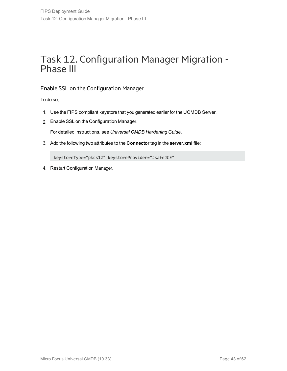## <span id="page-42-0"></span>Task 12. Configuration Manager Migration - Phase III

### Enable SSL on the Configuration Manager

To do so,

- 1. Use the FIPS compliant keystore that you generated earlier for the UCMDB Server.
- 2. Enable SSL on the Configuration Manager.

For detailed instructions, see *Universal CMDB Hardening Guide*.

3. Add the following two attributes to the **Connector** tag in the **server.xml** file:

keystoreType="pkcs12" keystoreProvider="JsafeJCE"

4. Restart Configuration Manager.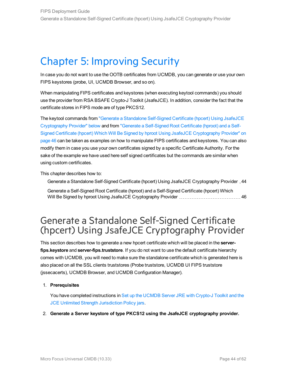## <span id="page-43-0"></span>Chapter 5: Improving Security

In case you do not want to use the OOTB certificates from UCMDB, you can generate or use your own FIPS keystores (probe, UI, UCMDB Browser, and so on).

When manipulating FIPS certificates and keystores (when executing keytool commands) you should use the provider from RSA BSAFE Crypto-J Toolkit (JsafeJCE). In addition, consider the fact that the certificate stores in FIPS mode are of type PKCS12.

The keytool commands from "Generate a Standalone [Self-Signed](#page-43-1) Certificate (hpcert) Using JsafeJCE [Cryptography](#page-43-1) Provider" below and from "Generate a [Self-Signed](#page-45-0) Root Certificate (hproot) and a Self-Signed Certificate (hpcert) Which Will Be Signed by hproot Using JsafeJCE [Cryptography](#page-45-0) Provider" on [page 46](#page-45-0) can be taken as examples on how to manipulate FIPS certificates and keystores. You can also modify them in case you use your own certificates signed by a specific Certificate Authority. For the sake of the example we have used here self signed certificates but the commands are similar when using custom certificates.

This chapter describes how to:

Generate a Standalone Self-Signed Certificate (hpcert) Using JsafeJCE [Cryptography](#page-43-1) Provider [44](#page-43-1)

Generate a Self-Signed Root Certificate (hproot) and a [Self-Signed](#page-45-0) Certificate (hpcert) Which Will Be Signed by hproot Using JsafeJCE [Cryptography](#page-45-0) Provider [46](#page-45-0)

### <span id="page-43-1"></span>Generate a Standalone Self-Signed Certificate (hpcert) Using JsafeJCE Cryptography Provider

This section describes how to generate a new hpcert certificate which will be placed in the **serverfips.keystore** and **server-fips.truststore**. If you do not want to use the default certificate hierarchy comes with UCMDB, you will need to make sure the standalone certificate which is generated here is also placed on all the SSL clients truststores (Probe truststore, UCMDB UI FIPS truststore (jssecacerts), UCMDB Browser, and UCMDB Configuration Manager).

### 1. **Prerequisites**

You have completed instructions in Set up the [UCMDB](#page-18-0) Server JRE with Crypto-J Toolkit and the JCE Unlimited Strength [Jurisdiction](#page-18-0) Policy jars.

2. **Generate a Server keystore of type PKCS12 using the JsafeJCE cryptography provider.**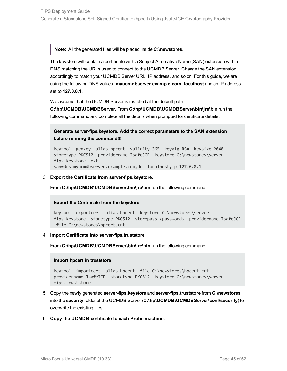**Note:** All the generated files will be placed inside **C:\newstores**.

The keystore will contain a certificate with a Subject Alternative Name (SAN) extension with a DNS matching the URLs used to connect to the UCMDB Server. Change the SAN extension accordingly to match your UCMDB Server URL, IP address, and so on. For this guide, we are using the following DNS values: **myucmdbserver.example.com**, **localhost** and an IP address set to **127.0.0.1**.

We assume that the UCMDB Server is installed at the default path

**C:\hp\UCMDB\UCMDBServer**. From **C:\hp\UCMDB\UCMDBServer\bin\jre\bin** run the following command and complete all the details when prompted for certificate details:

**Generate server-fips.keystore. Add the correct parameters to the SAN extension before running the command!!!**

keytool -genkey -alias hpcert -validity 365 -keyalg RSA -keysize 2048 storetype PKCS12 -providername JsafeJCE -keystore C:\newstores\serverfips.keystore -ext san=dns:myucmdbserver.example.com,dns:localhost,ip:127.0.0.1

### 3. **Export the Certificate from server-fips.keystore.**

From C:\hp\UCMDB\UCMDBServer\bin\jre\bin run the following command:

### **Export the Certificate from the keystore**

```
keytool -exportcert -alias hpcert -keystore C:\newstores\server-
fips.keystore -storetype PKCS12 -storepass <password> -providername JsafeJCE
-file C:\newstores\hpcert.crt
```
### 4. **Import Certificate into server-fips.truststore.**

From **C:\hp\UCMDB\UCMDBServer\bin\jre\bin** run the following command:

### **Import hpcert in truststore**

```
keytool -importcert -alias hpcert -file C:\newstores\hpcert.crt -
providername JsafeJCE -storetype PKCS12 -keystore C:\newstores\server-
fips.truststore
```
- 5. Copy the newly generated **server-fips.keystore** and **server-fips.truststore** from **C:\newstores** into the **security** folder of the UCMDB Server (**C:\hp\UCMDB\UCMDBServer\conf\security**) to overwrite the existing files.
- 6. **Copy the UCMDB certificate to each Probe machine.**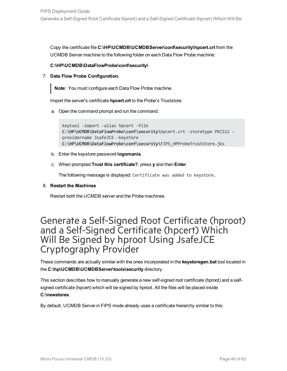Copy the certificate file **C:\HP\UCMDB\UCMDBServer\conf\security\hpcert.crt** from the UCMDB Server machine to the following folder on each Data Flow Probe machine:

### **C:\HP\UCMDB\DataFlowProbe\conf\security\**

7. **Data Flow Probe Configuration.**

**Note:** You must configure each Data Flow Probe machine.

Import the server's certificate **hpcert.crt** to the Probe's Truststore.

a. Open the command prompt and run the command:

```
keytool -import -alias hpcert -file
C:\HP\UCMDB\DataFlowProbe\conf\security\hpcert.crt -storetype PKCS12 -
providername JsafeJCE -keystore
C:\HP\UCMDB\DataFlowProbe\conf\security\FIPS_HPProbeTrustStore.jks
```
- b. Enter the keystore password **logomania**.
- c. When prompted **Trust this certificate?**, press **y** and then **Enter**.

The following message is displayed: Certificate was added to keystore.

### 8. **Restart the Machines**

Restart both the UCMDB server and the Probe machines.

### <span id="page-45-0"></span>Generate a Self-Signed Root Certificate (hproot) and a Self-Signed Certificate (hpcert) Which Will Be Signed by hproot Using JsafeJCE Cryptography Provider

These commands are actually similar with the ones incorporated in the **keystoregen.bat** tool located in the **C:\hp\UCMDB\UCMDBServer\tools\security** directory.

This section describes how to manually generate a new self-signed root certificate (hproot) and a selfsigned certificate (hpcert) which will be signed by hproot. All the files will be placed inside **C:\newstores**.

By default, UCMDB Server in FIPS mode already uses a certificate hierarchy similar to this.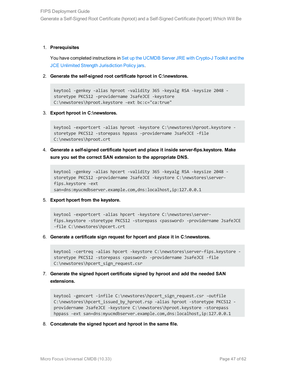Generate a Self-Signed Root Certificate (hproot) and a Self-Signed Certificate (hpcert) Which Will Be

### 1. **Prerequisites**

You have completed instructions in Set up the [UCMDB](#page-18-0) Server JRE with Crypto-J Toolkit and the JCE Unlimited Strength [Jurisdiction](#page-18-0) Policy jars.

2. **Generate the self-signed root certificate hproot in C:\newstores.**

```
keytool -genkey -alias hproot -validity 365 -keyalg RSA -keysize 2048 -
storetype PKCS12 -providername JsafeJCE -keystore
C:\newstores\hproot.keystore -ext bc:c="ca:true"
```
3. **Export hproot in C:\newstores.**

```
keytool -exportcert -alias hproot -keystore C:\newstores\hproot.keystore -
storetype PKCS12 -storepass hppass -providername JsafeJCE -file
C:\newstores\hproot.crt
```
4. **Generate a self-signed certificate hpcert and place it inside server-fips.keystore. Make sure you set the correct SAN extension to the appropriate DNS.**

```
keytool -genkey -alias hpcert -validity 365 -keyalg RSA -keysize 2048 -
storetype PKCS12 -providername JsafeJCE -keystore C:\newstores\server-
fips.keystore -ext
san=dns:myucmdbserver.example.com,dns:localhost,ip:127.0.0.1
```
### 5. **Export hpcert from the keystore.**

```
keytool -exportcert -alias hpcert -keystore C:\newstores\server-
fips.keystore -storetype PKCS12 -storepass <password> -providername JsafeJCE
-file C:\newstores\hpcert.crt
```
6. **Generate a certificate sign request for hpcert and place it in C:\newstores.**

```
keytool -certreq -alias hpcert -keystore C:\newstores\server-fips.keystore -
storetype PKCS12 -storepass <password> -providername JsafeJCE -file
C:\newstores\hpcert_sign_request.csr
```
### 7. **Generate the signed hpcert certificate signed by hproot and add the needed SAN extensions.**

```
keytool -gencert -infile C:\newstores\hpcert sign request.csr -outfile
C:\newstores\hpcert_issued_by_hproot.rsp -alias hproot -storetype PKCS12 -
providername JsafeJCE -keystore C:\newstores\hproot.keystore -storepass
hppass -ext san=dns:myucmdbserver.example.com,dns:localhost,ip:127.0.0.1
```
8. **Concatenate the signed hpcert and hproot in the same file.**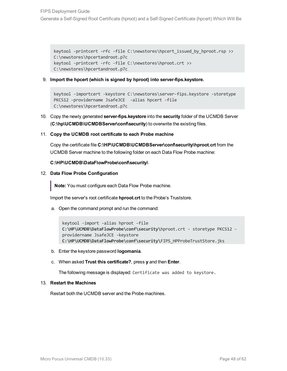keytool -printcert -rfc -file C:\newstores\hpcert issued by hproot.rsp >> C:\newstores\hpcertandroot.p7c keytool -printcert -rfc -file C:\newstores\hproot.crt >> C:\newstores\hpcertandroot.p7c

9. **Import the hpcert (which is signed by hproot) into server-fips.keystore.**

```
keytool -importcert -keystore C:\newstores\server-fips.keystore -storetype
PKCS12 -providername JsafeJCE -alias hpcert -file
C:\newstores\hpcertandroot.p7c
```
- 10. Copy the newly generated **server-fips.keystore** into the **security** folder of the UCMDB Server (**C:\hp\UCMDB\UCMDBServer\conf\security**) to overwrite the existing files.
- 11. **Copy the UCMDB root certificate to each Probe machine**

Copy the certificate file **C:\HP\UCMDB\UCMDBServer\conf\security\hproot.crt** from the UCMDB Server machine to the following folder on each Data Flow Probe machine:

### **C:\HP\UCMDB\DataFlowProbe\conf\security\**

12. **Data Flow Probe Configuration**

**Note:** You must configure each Data Flow Probe machine.

Import the server's root certificate **hproot.crt** to the Probe's Truststore.

a. Open the command prompt and run the command:

```
keytool -import -alias hproot -file
C:\HP\UCMDB\DataFlowProbe\conf\security\hproot.crt - storetype PKCS12 -
providername JsafeJCE -keystore
C:\HP\UCMDB\DataFlowProbe\conf\security\FIPS_HPProbeTrustStore.jks
```
b. Enter the keystore password **logomania**.

### c. When asked **Trust this certificate?**, press **y** and then **Enter**.

The following message is displayed: Certificate was added to keystore.

### 13. **Restart the Machines**

Restart both the UCMDB server and the Probe machines.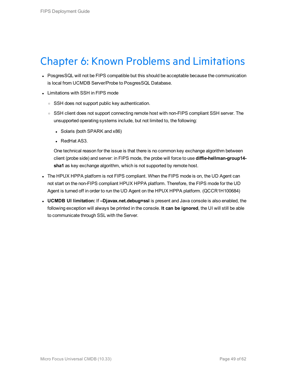## <span id="page-48-0"></span>Chapter 6: Known Problems and Limitations

- PosgresSQL will not be FIPS compatible but this should be acceptable because the communication is local from UCMDB Server/Probe to PosgresSQL Database.
- Limitations with SSH in FIPS mode
	- SSH does not support public key authentication.
	- SSH client does not support connecting remote host with non-FIPS compliant SSH server. The unsupported operating systems include, but not limited to, the following:
		- Solaris (both SPARK and x86)
		- RedHat AS3.

One technical reason for the issue is that there is no common key exchange algorithm between client (probe side) and server: in FIPS mode, the probe will force to use **diffie-hellman-group14 sha1** as key exchange algorithm, which is not supported by remote host.

- The HPUX HPPA platform is not FIPS compliant. When the FIPS mode is on, the UD Agent can not start on the non-FIPS compliant HPUX HPPA platform. Therefore, the FIPS mode for the UD Agent is turned off in order to run the UD Agent on the HPUX HPPA platform. (QCCR1H100684)
- <sup>l</sup> **UCMDB UI limitation:** If **–Djavax.net.debug=ssl** is present and Java console is also enabled, the following exception will always be printed in the console. **It can be ignored**, the UI will still be able to communicate through SSL with the Server.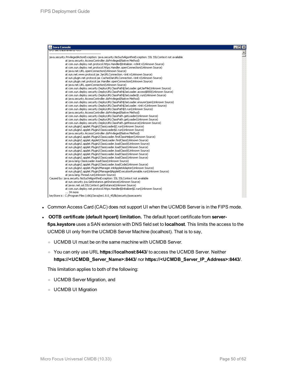| Java Console                                                                                                  | $\Box$ $\times$ |
|---------------------------------------------------------------------------------------------------------------|-----------------|
| at trata iavai tu kiriz                                                                                       |                 |
| java.security.PrivilegedActionException: java.security.NoSuchAlgorithmException: SSL SSLContext not available |                 |
| at java.security.AccessController.doPrivileged(Native Method)                                                 |                 |
| at com.sun.deploy.net.protocol.https.Handler\$Initializer. <clinit>(Unknown Source)</clinit>                  |                 |
| at com.sun.deploy.net.protocol.https.Handler.openConnection(Unknown Source)                                   |                 |
| at java.net.URL.openConnection(Unknown Source)                                                                |                 |
| at sun.net.www.protocol.jar.JarURLConnection. <init>(Unknown Source)</init>                                   |                 |
| at sun.plugin.net.protocol.jar.CachedJarURLConnection. <init>(Unknown Source)</init>                          |                 |
| at sun.plugin.net.protocol.jar.Handler.openConnection(Unknown Source)                                         |                 |
| at java.net.URL.openConnection(Unknown Source)                                                                |                 |
| at com.sun.deplov.security.DeplovURLClassPath\$JarLoader.getJarFile(Unknown Source)                           |                 |
| at com.sun.deploy.security.DeployURLClassPath\$JarLoader.access\$800(Unknown Source)                          |                 |
| at com.sun.deploy.security.DeployURLClassPath\$JarLoader\$1.run(Unknown Source)                               |                 |
| at java.security.AccessController.doPrivileged(Native Method)                                                 |                 |
| at com.sun.deploy.security.DeployURLClassPath\$JarLoader.ensureOpen(Unknown Source)                           |                 |
| at com.sun.deploy.security.DeployURLClassPath\$JarLoader. <init>(Unknown Source)</init>                       |                 |
| at com.sun.deploy.security.DeployURLClassPath\$3.run(Unknown Source)                                          |                 |
| at java.security.AccessController.doPrivileged(Native Method)                                                 |                 |
| at com.sun.deploy.security.DeployURLClassPath.getLoader(Unknown Source)                                       |                 |
| at com.sun.deploy.security.DeployURLClassPath.getLoader(Unknown Source)                                       |                 |
| at com.sun.deploy.security.DeployURLClassPath.getResource(Unknown Source)                                     |                 |
| at sun.plugin2.applet.Plugin2ClassLoader\$2.run(Unknown Source)                                               |                 |
|                                                                                                               |                 |
| at sun.plugin2.applet.Plugin2ClassLoader\$2.run(Unknown Source)                                               |                 |
| at java.security.AccessController.doPrivileged(Native Method)                                                 |                 |
| at sun.plugin2.applet.Plugin2ClassLoader.findClassHelper(Unknown Source)                                      |                 |
| at sun.plugin2.applet.Applet2ClassLoader.findClass(Unknown Source)                                            |                 |
| at sun.plugin2.applet.Plugin2ClassLoader.loadClass0(Unknown Source)                                           |                 |
| at sun.plugin2.applet.Plugin2ClassLoader.loadClass(Unknown Source)                                            |                 |
| at sun.plugin2.applet.Plugin2ClassLoader.loadClass0(Unknown Source)                                           |                 |
| at sun.plugin2.applet.Plugin2ClassLoader.loadClass(Unknown Source)                                            |                 |
| at sun.plugin2.applet.Plugin2ClassLoader.loadClass(Unknown Source)                                            |                 |
| at java.lang.ClassLoader.loadClass(Unknown Source)                                                            |                 |
| at sun.plugin2.applet.Plugin2ClassLoader.loadCode(Unknown Source)                                             |                 |
| at sun.plugin2.applet.Plugin2Manager.initAppletAdapter(Unknown Source)                                        |                 |
| at sun.plugin2.applet.Plugin2Manager\$AppletExecutionRunnable.run(Unknown Source)                             |                 |
| at java.lang.Thread.run(Unknown Source)                                                                       |                 |
| Caused by: java.security.NoSuchAlgorithmException: SSL SSLContext not available                               |                 |
| at sun.security.jca.GetInstance.getInstance(Unknown Source)                                                   |                 |
| at javax.net.ssl.SSLContext.getInstance(Unknown Source)                                                       |                 |
| at com.sun.deploy.net.protocol.https.Handler\$Initializer\$2.run(Unknown Source)                              |                 |
| $\ldots$ 34 more                                                                                              |                 |
| keyStore is: C:/Program Files (x86)/Java/jre1.8.0_45/lib/security/jssecacerts                                 |                 |

- Common Access Card (CAC) does not support UI when the UCMDB Server is in the FIPS mode.
- <sup>l</sup> **OOTB certificate (default hpcert) limitation.** The default hpcert certificate from **serverfips.keystore** uses a SAN extension with DNS field set to **localhost**. This limits the access to the UCMDB UI only from the UCMDB Server Machine (localhost). That is to say,
	- <sup>o</sup> UCMDB UI must be on the same machine with UCMDB Server.
	- <sup>o</sup> You can only use URL **https://localhost:8443/** to access the UCMDB Server. Neither **https://<UCMDB\_Server\_Name>:8443/** nor **https://<UCMDB\_Server\_IP\_Address>:8443/**.

This limitation applies to both of the following:

- <sup>o</sup> UCMDB Server Migration, and
- <sup>o</sup> UCMDB UI Migration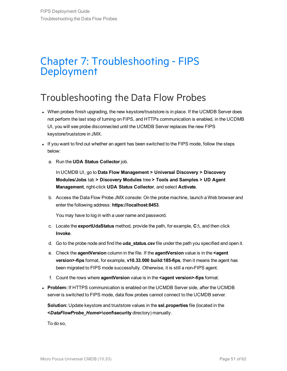## <span id="page-50-0"></span>Chapter 7: Troubleshooting - FIPS Deployment

## <span id="page-50-1"></span>Troubleshooting the Data Flow Probes

- When probes finish upgrading, the new keystore/truststore is in place. If the UCMDB Server does not perform the last step of turning on FIPS, and HTTPs communication is enabled, in the UCDMB UI, you will see probe disconnected until the UCMDB Server replaces the new FIPS keystore/truststore in JMX.
- If you want to find out whether an agent has been switched to the FIPS mode, follow the steps below:
	- a. Run the **UDA Status Collector** job.

In UCMDB UI, go to **Data Flow Management > Universal Discovery > Discovery Modules/Jobs** tab **> Discovery Modules** tree **> Tools and Samples > UD Agent Management**, right-click **UDA Status Collector**, and select **Activate**.

b. Access the Data Flow Probe JMX console: On the probe machine, launch a Web browser and enter the following address: **https://localhost:8453**.

You may have to log in with a user name and password.

- c. Locate the **exportUdaStatus** method, provide the path, for example, **C:\**, and then click **Invoke**.
- d. Go to the probe node and find the **uda\_status.csv** file under the path you specified and open it.
- e. Check the **agentVersion** column in the file. If the **agentVersion** value is in the **<agent version>-fips** format, for example, **v10.33.000 build:185-fips**, then it means the agent has been migrated to FIPS mode successfully. Otherwise, it is still a non-FIPS agent.
- f. Count the rows where **agentVersion** value is in the **<agent version>-fips** format.
- **Problem:** If HTTPS communication is enabled on the UCMDB Server side, after the UCMDB server is switched to FIPS mode, data flow probes cannot connect to the UCMDB server.

**Solution:** Update keystore and truststore values in the **ssl.properties** file (located in the **<***DataFlowProbe\_Home***>\conf\security** directory) manually.

To do so,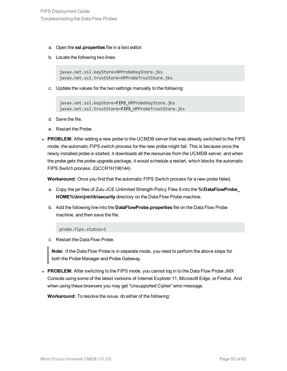- a. Open the **ssl.properties** file in a text editor.
- b. Locate the following two lines:

javax.net.ssl.keyStore=HPProbeKeyStore.jks javax.net.ssl.trustStore=HPProbeTrustStore.jks

c. Update the values for the two settings manually to the following:

```
javax.net.ssl.keyStore=FIPS_HPProbeKeyStore.jks
javax.net.ssl.trustStore=FIPS_HPProbeTrustStore.jks
```
- d. Save the file.
- e. Restart the Probe.
- PROBLEM: After adding a new probe to the UCMDB server that was already switched to the FIPS mode, the automatic FIPS switch process for the new probe might fail. This is because once the newly installed probe is started, it downloads all the resources from the UCMDB server, and when the probe gets the probe upgrade package, it would schedule a restart, which blocks the automatic FIPS Switch process. (QCCR1H106144)

**Workaround:** Once you find that the automatic FIPS Switch process for a new probe failed,

- a. Copy the jar files of Zulu JCE Unlimited Strength Policy Files 8 into the **%\DataFlowProbe\_ HOME%\bin\jre\lib\security** directory on the Data Flow Probe machine.
- b. Add the following line into the **DataFlowProbe.properties** file on the Data Flow Probe machine, and then save the file.

probe.fips.status=1

c. Restart the Data Flow Probe.

**Note:** If the Data Flow Probe is in separate mode, you need to perform the above steps for both the Probe Manager and Probe Gateway.

**PROBLEM:** After switching to the FIPS mode, you cannot log in to the Data Flow Probe JMX Console using some of the latest versions of Internet Explorer 11, Microsoft Edge, or Firefox. And when using these browsers you may get "Unsupported Cipher" error message.

**Workaround:** To resolve the issue, do either of the following: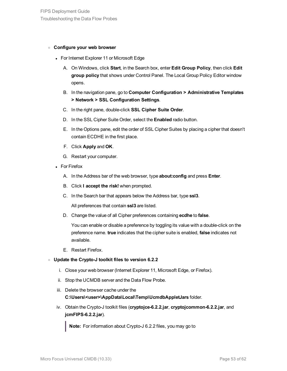### <sup>o</sup> **Configure your web browser**

- For Internet Explorer 11 or Microsoft Edge
	- A. On Windows, click **Start**, in the Search box, enter **Edit Group Policy**, then click **Edit group policy** that shows under Control Panel. The Local Group Policy Editor window opens.
	- B. In the navigation pane, go to **Computer Configuration > Administrative Templates > Network > SSL Configuration Settings**.
	- C. In the right pane, double-click **SSL Cipher Suite Order**.
	- D. In the SSL Cipher Suite Order, select the **Enabled** radio button.
	- E. In the Options pane, edit the order of SSL Cipher Suites by placing a cipher that doesn't contain ECDHE in the first place.
	- F. Click **Apply** and **OK**.
	- G. Restart your computer.
- For Firefox
	- A. In the Address bar of the web browser, type **about:config** and press **Enter**.
	- B. Click **I accept the risk!** when prompted.
	- C. In the Search bar that appears below the Address bar, type **ssl3**.

All preferences that contain **ssl3** are listed.

D. Change the value of all Cipher preferences containing **ecdhe** to **false**.

You can enable or disable a preference by toggling its value with a double-click on the preference name. **true** indicates that the cipher suite is enabled, **false** indicates not available.

E. Restart Firefox.

### <sup>o</sup> **Update the Crypto-J toolkit files to version 6.2.2**

- i. Close your web browser (Internet Explorer 11, Microsoft Edge, or Firefox).
- ii. Stop the UCMDB server and the Data Flow Probe.
- iii. Delete the browser cache under the

**C:\Users\<user>\AppData\Local\Temp\UcmdbAppletJars** folder.

iv. Obtain the Crypto-J toolkit files (**cryptojce-6.2.2.jar**, **cryptojcommon-6.2.2.jar**, and **jcmFIPS-6.2.2.jar**).

**Note:** For information about Crypto-J 6.2.2 files, you may go to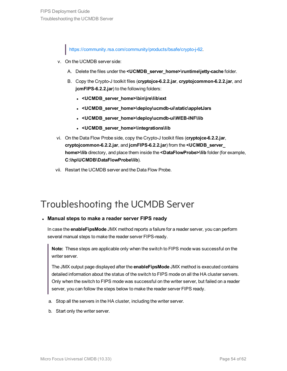<https://community.rsa.com/community/products/bsafe/crypto-j-62>.

- v. On the UCMDB server side:
	- A. Delete the files under the **<UCMDB\_server\_home>\runtime\jetty-cache** folder.
	- B. Copy the Crypto-J toolkit files (**cryptojce-6.2.2.jar**, **cryptojcommon-6.2.2.jar**, and **jcmFIPS-6.2.2.jar**) to the following folders:
		- . < UCMDB\_server\_home>\bin\jre\lib\ext
		- <sup>l</sup> **<UCMDB\_server\_home>\deploy\ucmdb-ui\static\appletJars**
		- <sup>l</sup> **<UCMDB\_server\_home>\deploy\ucmdb-ui\WEB-INF\lib**
		- <sup>l</sup> **<UCMDB\_server\_home>\integrations\lib**
- vi. On the Data Flow Probe side, copy the Crypto-J toolkit files (**cryptojce-6.2.2.jar**, **cryptojcommon-6.2.2.jar**, and **jcmFIPS-6.2.2.jar**) from the **<UCMDB\_server\_ home>\lib** directory, and place them inside the **<DataFlowProbe>\lib** folder (for example, **C:\hp\UCMDB\DataFlowProbe\lib**).
- vii. Restart the UCMDB server and the Data Flow Probe.

## <span id="page-53-0"></span>Troubleshooting the UCMDB Server

### <sup>l</sup> **Manual steps to make a reader server FIPS ready**

In case the **enableFipsMode** JMX method reports a failure for a reader server, you can perform several manual steps to make the reader server FIPS-ready.

**Note:** These steps are applicable only when the switch to FIPS mode was successful on the writer server.

The JMX output page displayed after the **enableFipsMode** JMX method is executed contains detailed information about the status of the switch to FIPS mode on all the HA cluster servers. Only when the switch to FIPS mode was successful on the writer server, but failed on a reader server, you can follow the steps below to make the reader server FIPS ready.

- a. Stop all the servers in the HA cluster, including the writer server.
- b. Start only the writer server.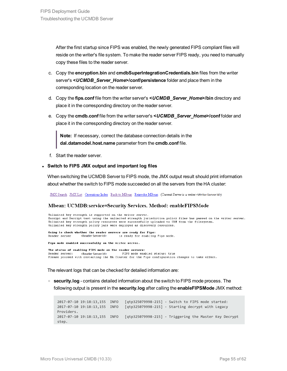After the first startup since FIPS was enabled, the newly generated FIPS compliant files will reside on the writer's file system. To make the reader server FIPS ready, you need to manually copy these files to the reader server.

- c. Copy the **encryption.bin** and **cmdbSuperIntegrationCredentials.bin** files from the writer server's **<***UCMDB\_Server\_Home***>/conf/persistence** folder and place them in the corresponding location on the reader server.
- d. Copy the **fips.conf** file from the writer server's **<***UCMDB\_Server\_Home***>/bin** directory and place it in the corresponding directory on the reader server.
- e. Copy the **cmdb.conf** file from the writer server's **<***UCMDB\_Server\_Home***>/conf** folder and place it in the corresponding directory on the reader server.

**Note:** If necessary, correct the database connection details in the **dal.datamodel.host.name** parameter from the **cmdb.conf** file.

f. Start the reader server.

#### <sup>l</sup> **Switch to FIPS JMX output and important log files**

When switching the UCMDB Server to FIPS mode, the JMX output result should print information about whether the switch to FIPS mode succeeded on all the servers from the HA cluster:

JMX Search JMX List Operations Index Back to MBean Reinvoke MBean (Current Server is a writer:<Writer Server Id>)

#### Mbean: UCMDB:service=Security Services. Method: enableFIPSMode

Unlimited key strength is supported on the writer server. Encrypt and Decrypt test using the unlimited strength jurisdiction policy files has passed on the writer server. Unlimited key strength policy resources were successfully uploaded to URM from the filesystem. Unlimited key strength policy jars were deployed as discovery resources. Going to check whether the reader servers are ready for Fips:

Reader server <Reader Server Id> is ready for enabling Fips mode.

Fins mode enabled successfully on the writer server.

The status of enabling FIPS mode on the reader servers: FIPS mode enabled status: true <Reader Server Id> Reader server: Please proceed with restarting the HA Cluster for the Fips configuration changes to take effect.

The relevant logs that can be checked for detailed information are:

<sup>o</sup> **security.log** - contains detailed information about the switch to FIPS mode process. The following output is present in the **security.log** after calling the **enableFIPSMode** JMX method:

2017-07-10 19:18:13,155 INFO [qtp325079998-215] - Switch to FIPS mode started: 2017-07-10 19:18:13,155 INFO [qtp325079998-215] - Starting decrypt with Legacy Providers. 2017-07-10 19:18:13,155 INFO [qtp325079998-215] - Triggering the Master Key Decrypt step.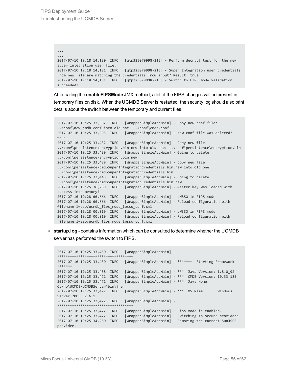```
...
...
2017-07-10 19:18:14,130 INFO [qtp325079998-215] - Perform decrypt test for the new
super integration user file.
2017-07-10 19:18:14,131 INFO [qtp325079998-215] - Super Integration user credentials
from new file are matching the credentials from input? Result: true
2017-07-10 19:18:14,131 INFO [qtp325079998-215] - Switch to FIPS mode validation
succeeded!
```
After calling the **enableFIPSMode** JMX method, a lot of the FIPS changes will be present in temporary files on disk. When the UCMDB Server is restarted, the security log should also print details about the switch between the temporary and current files:

```
2017-07-10 19:25:33,382 INFO [WrapperSimpleAppMain] - Copy new conf file:
..\conf\new_cmdb.conf into old one: ..\conf\cmdb.conf
2017-07-10 19:25:33,395 INFO [WrapperSimpleAppMain] - New conf file was deleted?
true
2017-07-10 19:25:33,432 INFO [WrapperSimpleAppMain] - Copy new file:
..\conf\persistence\encryption.bin.new into old one: ..\conf\persistence\encryption.bin
2017-07-10 19:25:33,439 INFO [WrapperSimpleAppMain] - Going to delete:
..\conf\persistence\encryption.bin.new
2017-07-10 19:25:33,439 INFO [WrapperSimpleAppMain] - Copy new file:
..\conf\persistence\cmdbSuperIntegrationCredentials.bin.new into old one:
..\conf\persistence\cmdbSuperIntegrationCredentials.bin
2017-07-10 19:25:33,443 INFO [WrapperSimpleAppMain] - Going to delete:
..\conf\persistence\cmdbSuperIntegrationCredentials.bin.new
2017-07-10 19:25:36,239 INFO [WrapperSimpleAppMain] - Master key was loaded with
success into memory!
2017-07-10 19:28:00,666 INFO [WrapperSimpleAppMain] - LWSSO in FIPS mode
2017-07-10 19:28:00,666 INFO [WrapperSimpleAppMain] - Reload configuration with
filename lwsso/ucmdb_fips_mode_lwsso_conf.xml
2017-07-10 19:28:00,819 INFO [WrapperSimpleAppMain] - LWSSO in FIPS mode
2017-07-10 19:28:00,819 INFO [WrapperSimpleAppMain] - Reload configuration with
filename lwsso/ucmdb_fips_mode_lwsso_conf.xml
```
<sup>o</sup> **startup.log** - contains information which can be consulted to determine whether the UCMDB server has performed the switch to FIPS.

```
2017-07-10 19:25:33,450 INFO [WrapperSimpleAppMain] -
 ************************************
2017-07-10 19:25:33,450 INFO [WrapperSimpleAppMain] - ******* Starting Framework
*******
2017-07-10 19:25:33,458 INFO [WrapperSimpleAppMain] - *** Java Version: 1.8.0_92
2017-07-10 19:25:33,471 INFO [WrapperSimpleAppMain] - *** CMDB Version: 10.33.185
2017-07-10 19:25:33,471 INFO [WrapperSimpleAppMain] - *** Java Home:
C:\hp\UCMDB\UCMDBServer\bin\jre
2017-07-10 19:25:33,472 INFO [WrapperSimpleAppMain] - *** OS Name: Windows
Server 2008 R2 6.1
2017-07-10 19:25:33,472 INFO [WrapperSimpleAppMain] -
************************************
2017-07-10 19:25:33,472 INFO [WrapperSimpleAppMain] - Fips mode is enabled.
2017-07-10 19:25:33,472 INFO [WrapperSimpleAppMain] - Switching to secure providers
2017-07-10 19:25:34,280 INFO [WrapperSimpleAppMain] - Removing the current SunJSSE
provider.
```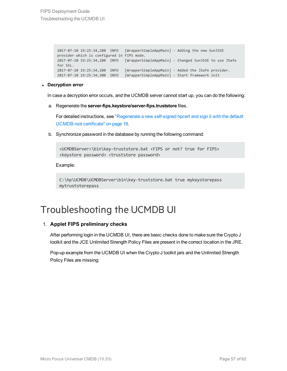```
2017-07-10 19:25:34,280 INFO [WrapperSimpleAppMain] - Adding the new SunJSSE
provider which is configured in FIPS mode.
2017-07-10 19:25:34,280 INFO [WrapperSimpleAppMain] - Changed SunJSSE to use JSafe
for SSL.
2017-07-10 19:25:34,280 INFO [WrapperSimpleAppMain] - Added the JSafe provider.
2017-07-10 19:25:34,300 INFO [WrapperSimpleAppMain] - Start framework init
```
### <sup>l</sup> **Decryption error**

In case a decryption error occurs, and the UCMDB server cannot start up, you can do the following:

a. Regenerate the **server-fips.keystore/server-fips.truststore** files.

For detailed instructions, see ["Regenerate](#page-17-0) a new self-signed hpcert and sign it with the default UCMDB root [certificate"](#page-17-0) on page 18.

b. Synchronize password in the database by running the following command:

<UCMDBServer>\bin\key-truststore.bat <FIPS or not? true for FIPS> <keystore password> <truststore password>

Example:

```
C:\hp\UCMDB\UCMDBServer\bin\key-truststore.bat true mykeystorepass
mytruststorepass
```
## <span id="page-56-0"></span>Troubleshooting the UCMDB UI

### 1. **Applet FIPS preliminary checks**

After performing login in the UCMDB UI, there are basic checks done to make sure the Crypto J toolkit and the JCE Unlimited Strength Policy Files are present in the correct location in the JRE.

Pop-up example from the UCMDB UI when the Crypto J toolkit jars and the Unlimited Strength Policy Files are missing: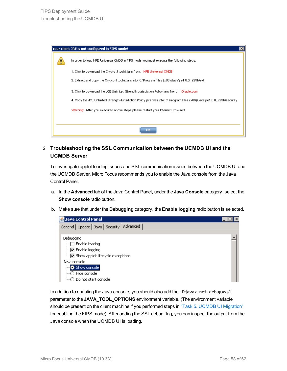| Your client JRE is not configured in FIPS mode!                                                                              |
|------------------------------------------------------------------------------------------------------------------------------|
| In order to load HPE Universal CMDB in FIPS mode you must execute the following steps:                                       |
| 1. Click to download the Crypto-J toolkit jars from: HPE Universal CMDB                                                      |
| 2. Extract and copy the Crypto-J toolkit jars into: C:\Program Files (x86)\Java\ire1.8.0_92\lib\ext                          |
| 3. Click to download the JCE Unlimited Strength Jurisdiction Policy jars from:<br>Oracle.com                                 |
| 4. Copy the JCE Unlimited Strength Jurisdiction Policy jars files into: C:\Program Files (x86)\Java\jre1.8.0_92\lib\security |
| Warning: After you executed above steps please restart your Internet Browser!                                                |
|                                                                                                                              |
| ок                                                                                                                           |

2. **Troubleshooting the SSL Communication between the UCMDB UI and the UCMDB Server**

To investigate applet loading issues and SSL communication issues between the UCMDB UI and the UCMDB Server, Micro Focus recommends you to enable the Java console from the Java Control Panel.

- a. In the **Advanced** tab of the Java Control Panel, under the **Java Console** category, select the **Show console** radio button.
- b. Make sure that under the **Debugging** category, the **Enable logging** radio button is selected.

| <b>名 Java Control Panel</b>                                                                                                                                                                             |  |
|---------------------------------------------------------------------------------------------------------------------------------------------------------------------------------------------------------|--|
| General   Update   Java   Security   Advanced                                                                                                                                                           |  |
| Debugging<br>$\Box$ Enable tracing<br>$\Box$ Enable logging<br>i <u>v</u> Show applet lifecycle exceptions<br>Java console<br>Show console<br>….○ Hide console<br><sub>i…</sub> ∩ Do not start console. |  |

In addition to enabling the Java console, you should also add the **-Djavax.net.debug=ssl** parameter to the **JAVA\_TOOL\_OPTIONS** environment variable. (The environment variable should be present on the client machine if you performed steps in "Task 5. UCMDB UI [Migration"](#page-23-0) for enabling the FIPS mode). After adding the SSL debug flag, you can inspect the output from the Java console when the UCMDB UI is loading.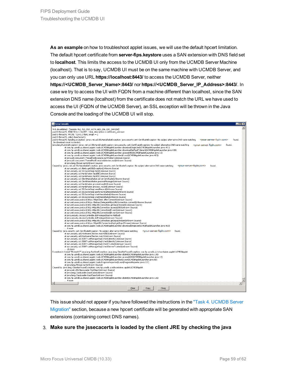**As an example** on how to troubleshoot applet issues, we will use the default hpcert limitation. The default hpcert certificate from **server-fips.keystore** uses a SAN extension with DNS field set to **localhost**. This limits the access to the UCMDB UI only from the UCMDB Server Machine (localhost). That is to say, UCMDB UI must be on the same machine with UCMDB Server, and you can only use URL **https://localhost:8443/** to access the UCMDB Server, neither **https://<UCMDB\_Server\_Name>:8443/** nor **https://<UCMDB\_Server\_IP\_Address>:8443/**. In case we try to access the UI with FQDN from a machine different than localhost, since the SAN extension DNS name (localhost) from the certificate does not match the URL we have used to access the UI (FQDN of the UCMDB Server), an SSL exception will be thrown in the Java Console and the loading of the UCMDB UI will stop.

#### Java Console رہے  $\overline{L}$   $\overline{L}$   $\overline{K}$ %% Invalidated: [Session-762, TLS RSA WITH AES 256 CBC SHA256] found. at com.hp.ucmdb.ui.shared.applet.tools.UCMDBAppletLauncher.downloadSingleJar(UCMDBAppletLauncher.java:491) at com.hp.ucmdb.ui.shared.applet.tools.UCMDBAppletLauncher.downloadJarFaultTolerant(UCMDBAppletLauncher.java:438) at com.hp.ucmdb.ui.shared.applet.tools.UCMDBAppletLauncher.access\$400(UCMDBAppletLauncher.java:18) at com.hp.ucmdb.ui.shared.applet.tools.UCMDBAppletLauncher\$6.run(UCMDBAppletLauncher.java:423) at com.hp.ucmdb.ui.shared.gpplet.kousk.UCMDBAppletLauncher.java:423)<br>at java.ubl.concurrent.ThreadPoolExecutor.runWorker(Unknown Source)<br>at java.ubl.concurrent.ThreadPoolExecutor\$Worker.run(Unknown Source)<br>at java.ubl.conc at sun.security.ssl.Handshaker.fatalSE(Unknown Source) at sun.security.ssl.Handshaker.fatalSE(Unknown Source) at sun.security.ssl.ClientHandshaker.serverCertificate(Unknown Source) at sun,security, ssl.ClientHandshaker, process/Message(Unknown Source)<br>at sun,security, ssl.ClientHandshaker, process/Message(Unknown Source)<br>at sun,security, ssl.Handshaker, process/top(Unknown Source)<br>at sun,security, ss at sun.security.ssl.55L5ocketImpl.startHandshake(Unknown Source) at sun.net.www.protocol.https.HttpsClient.afterConnect(Unknown Source) at sun.net.www.protocol.https.AbstractDelegateHttpsURLConnection.connect(Unknown Source) at sun.net.www.protocol.http.ittpl://tometotion.get.prips/kiConnecto.ncomet.com/<br>at sun.net.www.protocol.http.ittpl://t.Connection.get.pputStream0(Unknown Source)<br>at sun.net.www.protocol.http.ittpl://t.Connection.access\$20 at sun.net.www.protocol.https.HttpsURLConnectionImpl.getInputStream(Unknown Source) at com.hp.ucmdb.ui.shared.applet.tools.UCMDBAppletLauncher.downloadSingleJar(UCMDBAppletLauncher.java:463)  $6 more$ Caused by: java.security.cert.CertificateException: No subject alternative DNS name matching <your-server-fqdn.com> found. eva.security.com/interaction.com/interaction.com/interactions/interactions/interactions.com/interactions/interactions/interactions/interactions/interactions/interactions/interactions/interactions/interactions/interactions/ at sun.security.ssl.X509TrustManagerImpl.checkTrusted(Unknown Source) at sun.security.ssl.X509TrustManagerImpl.checkServerTrusted(Unknown Source) .25 more Exception in thread "Thread-17" java.lang.RuptimeException: java.lang.ClassNotEoundException: com.bp.ucmdb.ui.richcontainer.applet.UCMDBAnglet ttread" Irread" - Irves. Angly Austrian Exception: 1996. Internet Company Cales and Company at on the Jumma Cumma<br>at complement of the state of the properties of the state of the state of the state of the state of the stat ed by: java.lang.Cla at java.net.URLClassLoader.findClass(Unknown Source) at java.lang.ClassLoader.loadClass(Unknown Source) at java.lang.ClassLoader.loadClass(Unknown Source) at com.hp.ucmdb.ui.shared.applet.tools.UCMDBAppletLauncher.doInit(UCMDBAppletLauncher.java:126) . ..............<br>. 4 more Clear Copy Close

This issue should not appear if you have followed the instructions in the "Task 4. [UCMDB](#page-15-0) Server [Migration"](#page-15-0) section, because a new hpcert certificate will be generated with appropriate SAN extensions (containing correct DNS names).

### 3. **Make sure the jssecacerts is loaded by the client JRE by checking the java**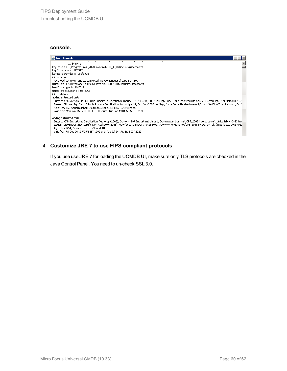### **console.**



### 4. **Customize JRE 7 to use FIPS compliant protocols**

If you use use JRE 7 for loading the UCMDB UI, make sure only TLS protocols are checked in the Java Control Panel. You need to un-check SSL 3.0.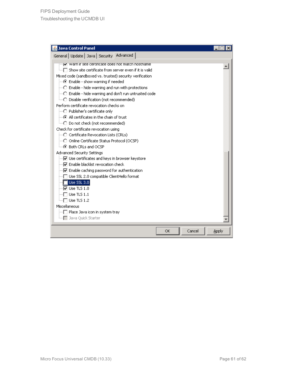| <b>Java Control Panel</b>                                                                                                                                                                                                                                                                                                                                                                                                                                                                                                                                                                                                                                                                                                                                                                                                                                                                                                                                                                                                                                                                                                                                                                                                                                                  |                 |
|----------------------------------------------------------------------------------------------------------------------------------------------------------------------------------------------------------------------------------------------------------------------------------------------------------------------------------------------------------------------------------------------------------------------------------------------------------------------------------------------------------------------------------------------------------------------------------------------------------------------------------------------------------------------------------------------------------------------------------------------------------------------------------------------------------------------------------------------------------------------------------------------------------------------------------------------------------------------------------------------------------------------------------------------------------------------------------------------------------------------------------------------------------------------------------------------------------------------------------------------------------------------------|-----------------|
| General   Update   Java   Security   Advanced                                                                                                                                                                                                                                                                                                                                                                                                                                                                                                                                                                                                                                                                                                                                                                                                                                                                                                                                                                                                                                                                                                                                                                                                                              |                 |
| V   warn ir site certiricate does not match nostname<br>்∏ Show site certificate from server even if it is valid<br>Mixed code (sandboxed vs. trusted) security verification<br>⊙ Enable - show warning if needed<br>○ Enable - hide warning and run with protections<br>$\stackrel{\scriptstyle \textrm{[}}{\scriptstyle \cdots\cap\ }\raisebox{1[1pt]{1[1pt]{.1.1em} \times}}$ Enable - hide warning and don't run untrusted code<br>Perform certificate revocation checks on<br>- C Publisher's certificate only<br>$\left\langle \cdot\right\rangle$ All certificates in the chain of trust.<br><sub>i</sub> ○ Do not check (not recommended)<br>Check for certificate revocation using<br>j…○ Certificate Revocation Lists (CRLs)<br>├─○ Online Certificate Status Protocol (OCSP)<br>$\leftarrow$ $\odot$ Both CRLs and OCSP<br><b>Advanced Security Settings</b><br>♡ Use certificates and keys in browser keystore<br>i…∏⊽ Enable blacklist revocation check.<br>… v Enable caching password for authentication<br>∏ Use SSL 2.0 compatible ClientHello format<br>$\blacksquare$ Use SSL 3.0<br>$\sqrt{2}$ Use TLS 1.0<br>$\overline{\rule{0pt}{6pt}}$ Use TLS 1.1<br>Use TLS 1.2<br>Miscellaneous<br>□ Place Java icon in system tray :<br>i   Java Quick Starter |                 |
| OK                                                                                                                                                                                                                                                                                                                                                                                                                                                                                                                                                                                                                                                                                                                                                                                                                                                                                                                                                                                                                                                                                                                                                                                                                                                                         | Cancel<br>Apply |